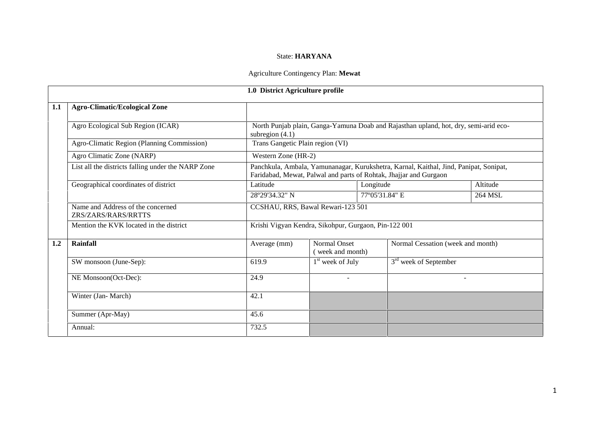## State: **HARYANA**

## Agriculture Contingency Plan: **Mewat**

|     |                                                          | 1.0 District Agriculture profile                                                                                                                           |                                                      |                                   |          |  |  |  |
|-----|----------------------------------------------------------|------------------------------------------------------------------------------------------------------------------------------------------------------------|------------------------------------------------------|-----------------------------------|----------|--|--|--|
| 1.1 | <b>Agro-Climatic/Ecological Zone</b>                     |                                                                                                                                                            |                                                      |                                   |          |  |  |  |
|     | Agro Ecological Sub Region (ICAR)                        | North Punjab plain, Ganga-Yamuna Doab and Rajasthan upland, hot, dry, semi-arid eco-<br>subregion $(4.1)$                                                  |                                                      |                                   |          |  |  |  |
|     | Agro-Climatic Region (Planning Commission)               | Trans Gangetic Plain region (VI)                                                                                                                           |                                                      |                                   |          |  |  |  |
|     | Agro Climatic Zone (NARP)                                | Western Zone (HR-2)                                                                                                                                        |                                                      |                                   |          |  |  |  |
|     | List all the districts falling under the NARP Zone       | Panchkula, Ambala, Yamunanagar, Kurukshetra, Karnal, Kaithal, Jind, Panipat, Sonipat,<br>Faridabad, Mewat, Palwal and parts of Rohtak, Jhajjar and Gurgaon |                                                      |                                   |          |  |  |  |
|     | Geographical coordinates of district                     | Latitude                                                                                                                                                   | Longitude                                            |                                   | Altitude |  |  |  |
|     |                                                          | 28°29'34.32" N                                                                                                                                             |                                                      | 77°05'31.84" E                    | 264 MSL  |  |  |  |
|     | Name and Address of the concerned<br>ZRS/ZARS/RARS/RRTTS |                                                                                                                                                            | CCSHAU, RRS, Bawal Rewari-123 501                    |                                   |          |  |  |  |
|     | Mention the KVK located in the district                  |                                                                                                                                                            | Krishi Vigyan Kendra, Sikohpur, Gurgaon, Pin-122 001 |                                   |          |  |  |  |
| 1.2 | Rainfall                                                 | Average (mm)                                                                                                                                               | <b>Normal Onset</b><br>(week and month)              | Normal Cessation (week and month) |          |  |  |  |
|     | SW monsoon (June-Sep):                                   | 619.9                                                                                                                                                      | $1st$ week of July                                   | 3 <sup>rd</sup> week of September |          |  |  |  |
|     | NE Monsoon(Oct-Dec):                                     | 24.9                                                                                                                                                       |                                                      |                                   | ÷,       |  |  |  |
|     | Winter (Jan-March)                                       | 42.1                                                                                                                                                       |                                                      |                                   |          |  |  |  |
|     | Summer (Apr-May)                                         | 45.6                                                                                                                                                       |                                                      |                                   |          |  |  |  |
|     | Annual:                                                  | 732.5                                                                                                                                                      |                                                      |                                   |          |  |  |  |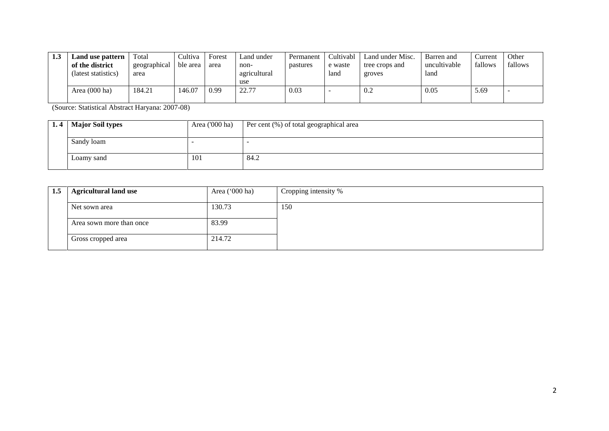| 1.3 | Land use pattern        | Total        | Cultiva  | Forest | Land under   | Permanent | Cultivabl | Land under Misc. | Barren and   | Current | Other   |
|-----|-------------------------|--------------|----------|--------|--------------|-----------|-----------|------------------|--------------|---------|---------|
|     | of the district         | geographical | ble area | area   | non-         | pastures  | e waste   | tree crops and   | uncultivable | fallows | fallows |
|     | (latest statistics)     | area         |          |        | agricultural |           | land      | groves           | land         |         |         |
|     |                         |              |          |        | use          |           |           |                  |              |         |         |
|     | Area $(000 \text{ ha})$ | 184.21       | 146.07   | 0.99   | 22.77        | 0.03      |           | 0.2              | 0.05         | 5.69    |         |
|     |                         |              |          |        |              |           |           |                  |              |         |         |

(Source: Statistical Abstract Haryana: 2007-08)

| 1.4   Major Soil types | Area $(000 \text{ ha})$ | Per cent (%) of total geographical area |
|------------------------|-------------------------|-----------------------------------------|
|                        |                         |                                         |
| Sandy loam             |                         |                                         |
|                        |                         |                                         |
| Loamy sand             | 101                     | 84.2                                    |
|                        |                         |                                         |

| 1.5 | <b>Agricultural land use</b> | Area $('000 ha)$ | Cropping intensity % |
|-----|------------------------------|------------------|----------------------|
|     | Net sown area                | 130.73           | 150                  |
|     | Area sown more than once     | 83.99            |                      |
|     | Gross cropped area           | 214.72           |                      |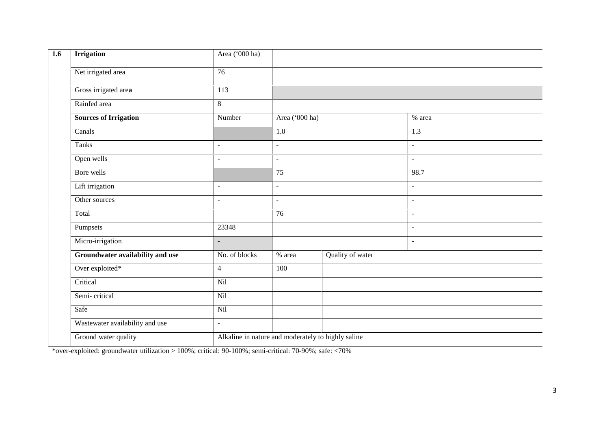| <b>Irrigation</b>                | Area ('000 ha)  |                          |                                                    |                          |  |
|----------------------------------|-----------------|--------------------------|----------------------------------------------------|--------------------------|--|
| Net irrigated area               | $\overline{76}$ |                          |                                                    |                          |  |
| Gross irrigated area             | 113             |                          |                                                    |                          |  |
| Rainfed area                     | $8\,$           |                          |                                                    |                          |  |
| <b>Sources of Irrigation</b>     | Number          | Area ('000 ha)           |                                                    | % area                   |  |
| Canals                           |                 | $\overline{1.0}$         |                                                    | $\overline{1.3}$         |  |
| Tanks                            | $\sim$          | $\overline{\phantom{a}}$ |                                                    | $\omega$                 |  |
| Open wells                       | $\mathcal{L}$   | $\overline{a}$           |                                                    | $\omega$                 |  |
| Bore wells                       |                 | 75                       |                                                    | 98.7                     |  |
| Lift irrigation                  | $\sim$          | $\blacksquare$           |                                                    | $\overline{a}$           |  |
| Other sources                    | $\sim$          | $\equiv$                 |                                                    | $\sim$                   |  |
| Total                            |                 | $\overline{76}$          |                                                    | $\blacksquare$           |  |
| Pumpsets                         | 23348           |                          |                                                    | $\overline{\phantom{a}}$ |  |
| Micro-irrigation                 | $\equiv$        |                          |                                                    | $\overline{\phantom{a}}$ |  |
| Groundwater availability and use | No. of blocks   | % area                   | Quality of water                                   |                          |  |
| Over exploited*                  | $\overline{4}$  | 100                      |                                                    |                          |  |
| Critical                         | Nil             |                          |                                                    |                          |  |
| Semi-critical                    | Nil             |                          |                                                    |                          |  |
| Safe                             | Nil             |                          |                                                    |                          |  |
| Wastewater availability and use  | $\omega$        |                          |                                                    |                          |  |
| Ground water quality             |                 |                          | Alkaline in nature and moderately to highly saline |                          |  |

\*over-exploited: groundwater utilization > 100%; critical: 90-100%; semi-critical: 70-90%; safe: <70%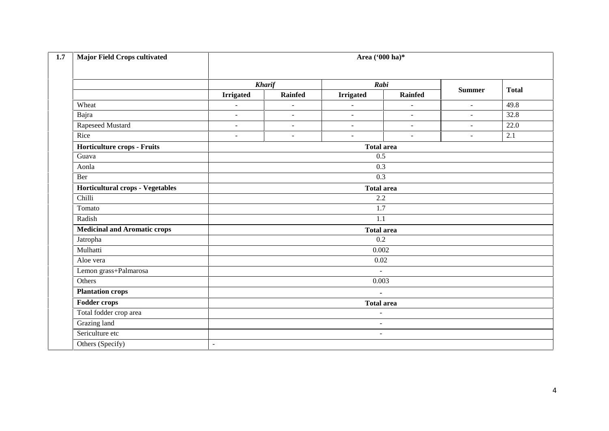| 1.7 | <b>Major Field Crops cultivated</b>     | Area ('000 ha)*          |                       |                          |                          |                |              |  |  |
|-----|-----------------------------------------|--------------------------|-----------------------|--------------------------|--------------------------|----------------|--------------|--|--|
|     |                                         |                          | <b>Kharif</b><br>Rabi |                          |                          |                |              |  |  |
|     |                                         | <b>Irrigated</b>         | Rainfed               | <b>Irrigated</b>         | Rainfed                  | <b>Summer</b>  | <b>Total</b> |  |  |
|     | Wheat                                   | $\overline{\phantom{a}}$ | $\sim$                | ÷,                       | $\overline{\phantom{a}}$ | $\blacksquare$ | 49.8         |  |  |
|     | Bajra                                   | $\overline{\phantom{a}}$ | $\blacksquare$        | $\blacksquare$           | $\blacksquare$           | $\sim$         | 32.8         |  |  |
|     | Rapeseed Mustard                        | $\sim$                   | $\blacksquare$        | $\blacksquare$           | $\blacksquare$           | $\blacksquare$ | 22.0         |  |  |
|     | Rice                                    | $\overline{a}$           | ÷.                    | $\sim$                   | $\overline{a}$           | $\sim$         | 2.1          |  |  |
|     | Horticulture crops - Fruits             |                          | <b>Total area</b>     |                          |                          |                |              |  |  |
|     | Guava                                   |                          |                       | 0.5                      |                          |                |              |  |  |
|     | Aonla                                   |                          |                       | 0.3                      |                          |                |              |  |  |
|     | Ber                                     |                          |                       | 0.3                      |                          |                |              |  |  |
|     | <b>Horticultural crops - Vegetables</b> |                          |                       | <b>Total area</b>        |                          |                |              |  |  |
|     | Chilli                                  |                          |                       | 2.2                      |                          |                |              |  |  |
|     | Tomato                                  |                          |                       | 1.7                      |                          |                |              |  |  |
|     | Radish                                  |                          |                       | $\overline{1.1}$         |                          |                |              |  |  |
|     | <b>Medicinal and Aromatic crops</b>     |                          |                       | <b>Total area</b>        |                          |                |              |  |  |
|     | Jatropha                                |                          |                       | 0.2                      |                          |                |              |  |  |
|     | Mulhatti                                |                          |                       | 0.002                    |                          |                |              |  |  |
|     | Aloe vera                               |                          |                       | 0.02                     |                          |                |              |  |  |
|     | Lemon grass+Palmarosa                   |                          |                       | $\sim$                   |                          |                |              |  |  |
|     | Others                                  |                          |                       | 0.003                    |                          |                |              |  |  |
|     | <b>Plantation crops</b>                 |                          |                       | $\blacksquare$           |                          |                |              |  |  |
|     | Fodder crops                            | <b>Total area</b>        |                       |                          |                          |                |              |  |  |
|     | Total fodder crop area                  | $\sim$                   |                       |                          |                          |                |              |  |  |
|     | Grazing land                            |                          |                       | $\overline{\phantom{a}}$ |                          |                |              |  |  |
|     | Sericulture etc                         |                          |                       | $\sim$                   |                          |                |              |  |  |
|     | Others (Specify)                        | $\sim$                   |                       |                          |                          |                |              |  |  |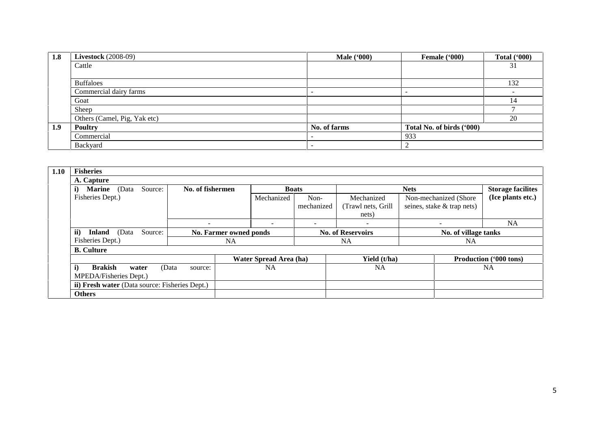| 1.8 | <b>Livestock</b> (2008-09)   | <b>Male</b> ('000) | Female ('000)             | <b>Total ('000)</b>      |
|-----|------------------------------|--------------------|---------------------------|--------------------------|
|     | Cattle                       |                    |                           | 31                       |
|     |                              |                    |                           |                          |
|     | <b>Buffaloes</b>             |                    |                           | 132                      |
|     | Commercial dairy farms       |                    | -                         | $\overline{\phantom{a}}$ |
|     | Goat                         |                    |                           | 14                       |
|     | Sheep                        |                    |                           |                          |
|     | Others (Camel, Pig, Yak etc) |                    |                           | 20                       |
| 1.9 | <b>Poultry</b>               | No. of farms       | Total No. of birds ('000) |                          |
|     | Commercial                   |                    | 933                       |                          |
|     | Backyard                     |                    | ∠                         |                          |

| 1.10<br><b>Fisheries</b>                       |                        |                          |                          |                          |                            |                          |  |
|------------------------------------------------|------------------------|--------------------------|--------------------------|--------------------------|----------------------------|--------------------------|--|
| A. Capture                                     |                        |                          |                          |                          |                            |                          |  |
| Source:<br><b>Marine</b><br>i)<br>(Data        | No. of fishermen       | <b>Boats</b>             |                          |                          | <b>Nets</b>                | <b>Storage facilites</b> |  |
| Fisheries Dept.)                               |                        | Mechanized               | Non-                     | Mechanized               | Non-mechanized (Shore)     | (Ice plants etc.)        |  |
|                                                |                        |                          | mechanized               | (Trawl nets, Grill       | seines, stake & trap nets) |                          |  |
|                                                |                        |                          |                          | nets)                    |                            |                          |  |
|                                                |                        | $\overline{\phantom{0}}$ | $\overline{\phantom{0}}$ | $\overline{\phantom{a}}$ | $\overline{\phantom{a}}$   | <b>NA</b>                |  |
| ii)<br>Source:<br><b>Inland</b><br>(Data       | No. Farmer owned ponds |                          | <b>No. of Reservoirs</b> |                          | No. of village tanks       |                          |  |
| Fisheries Dept.)                               |                        | <b>NA</b>                |                          | <b>NA</b>                |                            | NA                       |  |
| <b>B.</b> Culture                              |                        |                          |                          |                          |                            |                          |  |
|                                                |                        | Water Spread Area (ha)   |                          | Yield (t/ha)             |                            | Production ('000 tons)   |  |
| i)<br><b>Brakish</b><br>water                  | (Data<br>source:       | <b>NA</b>                |                          | <b>NA</b>                |                            | <b>NA</b>                |  |
| MPEDA/Fisheries Dept.)                         |                        |                          |                          |                          |                            |                          |  |
| ii) Fresh water (Data source: Fisheries Dept.) |                        |                          |                          |                          |                            |                          |  |
| <b>Others</b>                                  |                        |                          |                          |                          |                            |                          |  |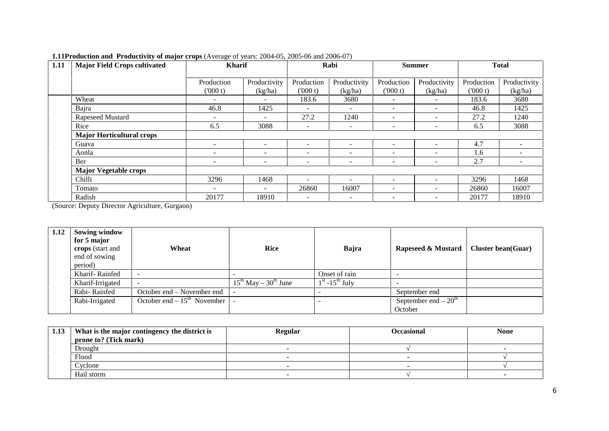| 1.11<br><b>Major Field Crops cultivated</b> | <b>Kharif</b>            |                          | Rabi                     |                          | <b>Summer</b>            |                          | <b>Total</b> |                 |
|---------------------------------------------|--------------------------|--------------------------|--------------------------|--------------------------|--------------------------|--------------------------|--------------|-----------------|
|                                             | Production               | Productivity             | Production               | Productivity             | Production               | Productivity             | Production   | Productivity    |
|                                             | (000 t)                  | (kg/ha)                  | (000 t)                  | (kg/ha)                  | (000 t)                  | (kg/ha)                  | (000 t)      | (kg/ha)         |
| Wheat                                       | $\overline{\phantom{0}}$ |                          | 183.6                    | 3680                     | $\overline{\phantom{0}}$ |                          | 183.6        | 3680            |
| Bajra                                       | 46.8                     | 1425                     |                          |                          | $\overline{\phantom{a}}$ |                          | 46.8         | 1425            |
| Rapeseed Mustard                            | $\overline{\phantom{0}}$ | $\overline{\phantom{0}}$ | 27.2                     | 1240                     | $\overline{\phantom{0}}$ | $\overline{\phantom{0}}$ | 27.2         | 1240            |
| Rice                                        | 6.5                      | 3088                     | $\overline{\phantom{a}}$ | $\overline{\phantom{a}}$ | $\overline{\phantom{a}}$ | $\overline{\phantom{0}}$ | 6.5          | 3088            |
| <b>Major Horticultural crops</b>            |                          |                          |                          |                          |                          |                          |              |                 |
| Guava                                       | $\overline{\phantom{a}}$ | $\overline{\phantom{a}}$ | -                        |                          | $\sim$                   |                          | 4.7          | $\sim$          |
| Aonla                                       | $\overline{\phantom{0}}$ | $\overline{\phantom{a}}$ | $\overline{\phantom{a}}$ |                          | $\overline{\phantom{a}}$ | $\overline{\phantom{a}}$ | 1.6          |                 |
| Ber                                         |                          | $\qquad \qquad$          |                          | $\overline{\phantom{a}}$ |                          |                          | 2.7          | $\qquad \qquad$ |
| <b>Major Vegetable crops</b>                |                          |                          |                          |                          |                          |                          |              |                 |
| Chilli                                      | 3296                     | 1468                     |                          |                          | $\overline{\phantom{a}}$ |                          | 3296         | 1468            |
| Tomato                                      | $\overline{\phantom{a}}$ | $\overline{\phantom{a}}$ | 26860                    | 16007                    | $\overline{\phantom{a}}$ | $\overline{\phantom{0}}$ | 26860        | 16007           |
| Radish                                      | 20177                    | 18910                    | $\overline{\phantom{a}}$ | $\overline{\phantom{a}}$ | $\overline{\phantom{0}}$ | $\overline{\phantom{0}}$ | 20177        | 18910           |

## **1.11Production and Productivity of major crops** (Average of years: 2004-05, 2005-06 and 2006-07)

(Source: Deputy Director Agriculture, Gurgaon)

| 1.12 | <b>Sowing window</b><br>for 5 major<br>crops (start and<br>end of sowing<br>period) | Wheat                           | Rice                           | Bajra             | Rapeseed & Mustard    | <b>Cluster bean(Guar)</b> |
|------|-------------------------------------------------------------------------------------|---------------------------------|--------------------------------|-------------------|-----------------------|---------------------------|
|      | Kharif-Rainfed                                                                      |                                 |                                | Onset of rain     |                       |                           |
|      | Kharif-Irrigated                                                                    |                                 | $15^{th}$ May – $30^{th}$ June | $1st - 15th$ July |                       |                           |
|      | Rabi-Rainfed                                                                        | October end – November end      |                                |                   | September end         |                           |
|      | Rabi-Irrigated                                                                      | October end $-15^{th}$ November |                                |                   | September end $-20th$ |                           |
|      |                                                                                     |                                 |                                |                   | October               |                           |

| 1.13 | What is the major contingency the district is | <b>Regular</b> | <b>Occasional</b> | <b>None</b> |
|------|-----------------------------------------------|----------------|-------------------|-------------|
|      | prone to? (Tick mark)                         |                |                   |             |
|      | Drought                                       |                |                   |             |
|      | Flood                                         |                |                   |             |
|      | Cyclone                                       |                |                   |             |
|      | Hail storm                                    |                |                   |             |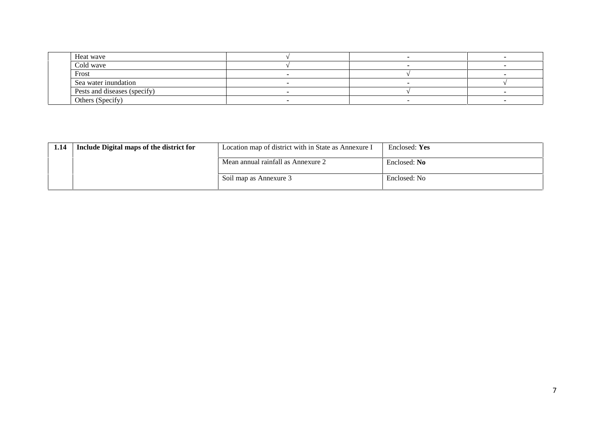| Heat wave                    |  |  |
|------------------------------|--|--|
| Cold wave                    |  |  |
| Frost                        |  |  |
| Sea water inundation         |  |  |
| Pests and diseases (specify) |  |  |
| Others (Specify)             |  |  |

| 1.14 | Include Digital maps of the district for | Location map of district with in State as Annexure I | Enclosed: Yes |
|------|------------------------------------------|------------------------------------------------------|---------------|
|      |                                          | Mean annual rainfall as Annexure 2                   | Enclosed: No  |
|      |                                          | Soil map as Annexure 3                               | Enclosed: No  |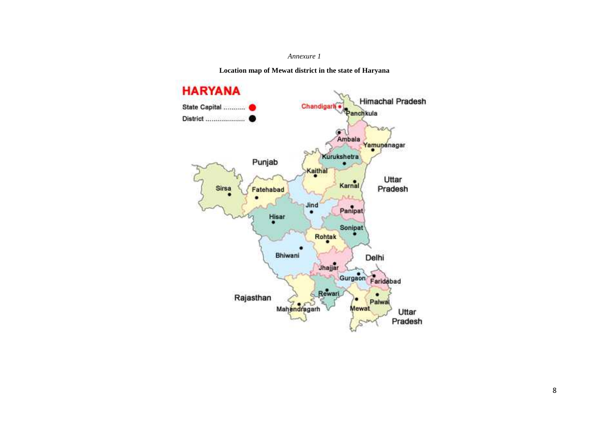#### *Annexure 1*

**Location map of Mewat district in the state of Haryana**

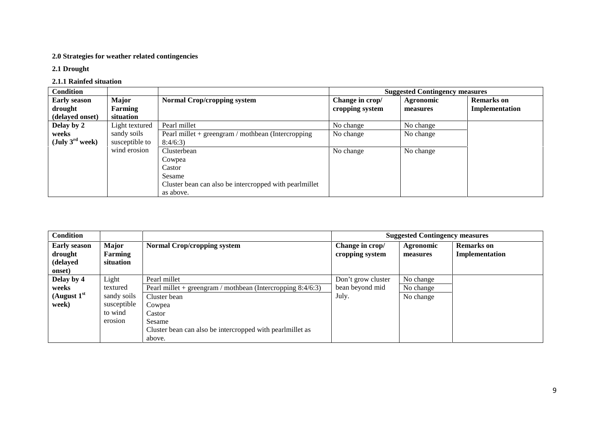## **2.0 Strategies for weather related contingencies**

## **2.1 Drought**

## **2.1.1 Rainfed situation**

| <b>Condition</b>            |                |                                                        |                 | <b>Suggested Contingency measures</b> |                   |
|-----------------------------|----------------|--------------------------------------------------------|-----------------|---------------------------------------|-------------------|
| <b>Early season</b>         | <b>Major</b>   | <b>Normal Crop/cropping system</b>                     | Change in crop/ | Agronomic                             | <b>Remarks</b> on |
| drought                     | Farming        |                                                        | cropping system | measures                              | Implementation    |
| (delayed onset)             | situation      |                                                        |                 |                                       |                   |
| Delay by 2                  | Light textured | Pearl millet                                           | No change       | No change                             |                   |
| weeks                       | sandy soils    | Pearl millet $+$ greengram / mothbean (Intercropping   | No change       | No change                             |                   |
| (July $3^{\text{rd}}$ week) | susceptible to | 8:4/6:3                                                |                 |                                       |                   |
|                             | wind erosion   | Clusterbean                                            | No change       | No change                             |                   |
|                             |                | Cowpea                                                 |                 |                                       |                   |
|                             |                | Castor                                                 |                 |                                       |                   |
|                             |                | Sesame                                                 |                 |                                       |                   |
|                             |                | Cluster bean can also be intercropped with pearlmillet |                 |                                       |                   |
|                             |                | as above.                                              |                 |                                       |                   |

| <b>Condition</b>                                     |                               |                                                                |                                    | <b>Suggested Contingency measures</b> |                                     |
|------------------------------------------------------|-------------------------------|----------------------------------------------------------------|------------------------------------|---------------------------------------|-------------------------------------|
| <b>Early season</b><br>drought<br>(delayed<br>onset) | Major<br>Farming<br>situation | <b>Normal Crop/cropping system</b>                             | Change in crop/<br>cropping system | Agronomic<br>measures                 | <b>Remarks</b> on<br>Implementation |
| Delay by 4                                           | Light                         | Pearl millet                                                   | Don't grow cluster                 | No change                             |                                     |
| weeks                                                | textured                      | Pearl millet + greengram / mothbean (Intercropping $8:4/6:3$ ) | bean beyond mid                    | No change                             |                                     |
| (August $1st$                                        | sandy soils                   | Cluster bean                                                   | July.                              | No change                             |                                     |
| week)                                                | susceptible                   | Cowpea                                                         |                                    |                                       |                                     |
|                                                      | to wind                       | Castor                                                         |                                    |                                       |                                     |
|                                                      | erosion                       | Sesame                                                         |                                    |                                       |                                     |
|                                                      |                               | Cluster bean can also be intercropped with pearlmillet as      |                                    |                                       |                                     |
|                                                      |                               | above.                                                         |                                    |                                       |                                     |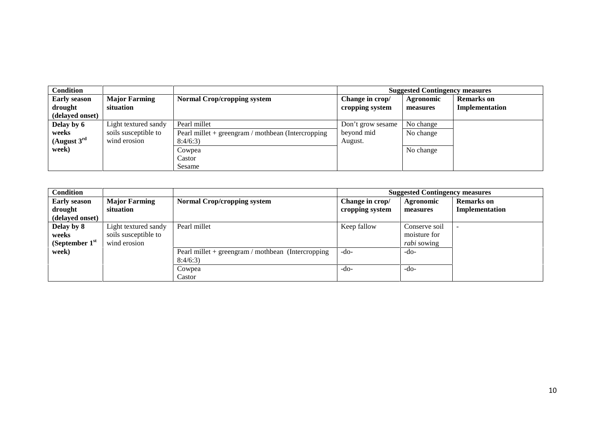| <b>Condition</b>        |                      |                                                      |                   | <b>Suggested Contingency measures</b> |                   |
|-------------------------|----------------------|------------------------------------------------------|-------------------|---------------------------------------|-------------------|
| <b>Early season</b>     | <b>Major Farming</b> | <b>Normal Crop/cropping system</b>                   | Change in crop/   | Agronomic                             | <b>Remarks</b> on |
| drought                 | situation            |                                                      | cropping system   | measures                              | Implementation    |
| (delayed onset)         |                      |                                                      |                   |                                       |                   |
| Delay by 6              | Light textured sandy | Pearl millet                                         | Don't grow sesame | No change                             |                   |
| weeks                   | soils susceptible to | Pearl millet $+$ greengram / mothbean (Intercropping | beyond mid        | No change                             |                   |
| (August $3^{\text{rd}}$ | wind erosion         | 8:4/6:3                                              | August.           |                                       |                   |
| week)                   |                      | Cowpea                                               |                   | No change                             |                   |
|                         |                      | Castor                                               |                   |                                       |                   |
|                         |                      | Sesame                                               |                   |                                       |                   |

| <b>Condition</b>                                  |                                                              |                                                                 |                                    | <b>Suggested Contingency measures</b>               |                                     |
|---------------------------------------------------|--------------------------------------------------------------|-----------------------------------------------------------------|------------------------------------|-----------------------------------------------------|-------------------------------------|
| <b>Early season</b><br>drought<br>(delayed onset) | <b>Major Farming</b><br>situation                            | <b>Normal Crop/cropping system</b>                              | Change in crop/<br>cropping system | Agronomic<br>measures                               | <b>Remarks</b> on<br>Implementation |
| Delay by 8<br>weeks<br>(September $1st$           | Light textured sandy<br>soils susceptible to<br>wind erosion | Pearl millet                                                    | Keep fallow                        | Conserve soil<br>moisture for<br><i>rabi</i> sowing |                                     |
| week)                                             |                                                              | Pearl millet $+$ greengram / mothbean (Intercropping<br>8:4/6:3 | $-do-$                             | $-do-$                                              |                                     |
|                                                   |                                                              | Cowpea<br>Castor                                                | $-do-$                             | $-do-$                                              |                                     |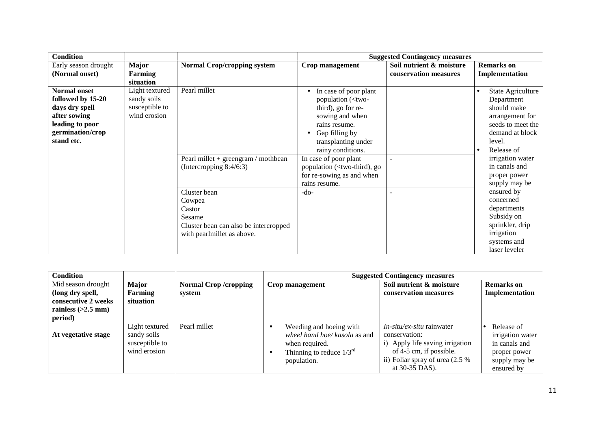| <b>Condition</b>     |                |                                       |                                                                                      | <b>Suggested Contingency measures</b> |                                |
|----------------------|----------------|---------------------------------------|--------------------------------------------------------------------------------------|---------------------------------------|--------------------------------|
| Early season drought | <b>Major</b>   | <b>Normal Crop/cropping system</b>    | Crop management                                                                      | Soil nutrient & moisture              | <b>Remarks</b> on              |
| (Normal onset)       | Farming        |                                       |                                                                                      | conservation measures                 | Implementation                 |
|                      | situation      |                                       |                                                                                      |                                       |                                |
| <b>Normal onset</b>  | Light textured | Pearl millet                          | In case of poor plant                                                                |                                       | State Agriculture<br>$\bullet$ |
| followed by 15-20    | sandy soils    |                                       | population ( <two-< td=""><td></td><td>Department</td></two-<>                       |                                       | Department                     |
| days dry spell       | susceptible to |                                       | third), go for re-                                                                   |                                       | should make                    |
| after sowing         | wind erosion   |                                       | sowing and when                                                                      |                                       | arrangement for                |
| leading to poor      |                |                                       | rains resume.                                                                        |                                       | seeds to meet the              |
| germination/crop     |                |                                       | Gap filling by                                                                       |                                       | demand at block                |
| stand etc.           |                |                                       | transplanting under                                                                  |                                       | level.                         |
|                      |                |                                       | rainy conditions.                                                                    |                                       | Release of<br>$\bullet$        |
|                      |                | Pearl millet + greengram / mothbean   | In case of poor plant                                                                |                                       | irrigation water               |
|                      |                | (Intercropping $8:4/6:3$ )            | population ( <two-third), go<="" td=""><td></td><td>in canals and</td></two-third),> |                                       | in canals and                  |
|                      |                |                                       | for re-sowing as and when                                                            |                                       | proper power                   |
|                      |                |                                       | rains resume.                                                                        |                                       | supply may be                  |
|                      |                | Cluster bean                          | $-do-$                                                                               |                                       | ensured by                     |
|                      |                | Cowpea                                |                                                                                      |                                       | concerned                      |
|                      |                | Castor                                |                                                                                      |                                       | departments                    |
|                      |                | Sesame                                |                                                                                      |                                       | Subsidy on                     |
|                      |                | Cluster bean can also be intercropped |                                                                                      |                                       | sprinkler, drip                |
|                      |                | with pearlmillet as above.            |                                                                                      |                                       | irrigation                     |
|                      |                |                                       |                                                                                      |                                       | systems and                    |
|                      |                |                                       |                                                                                      |                                       | laser leveler                  |

| Condition                                                                                        |                                                                 |                                       |                                                                                                                            | <b>Suggested Contingency measures</b>                                                                                                                           |                                                                                                |
|--------------------------------------------------------------------------------------------------|-----------------------------------------------------------------|---------------------------------------|----------------------------------------------------------------------------------------------------------------------------|-----------------------------------------------------------------------------------------------------------------------------------------------------------------|------------------------------------------------------------------------------------------------|
| Mid season drought<br>(long dry spell,<br>consecutive 2 weeks<br>rainless $(>2.5$ mm)<br>period) | <b>Major</b><br>Farming<br>situation                            | <b>Normal Crop/cropping</b><br>system | Crop management                                                                                                            | Soil nutrient & moisture<br>conservation measures                                                                                                               | <b>Remarks</b> on<br>Implementation                                                            |
| At vegetative stage                                                                              | Light textured<br>sandy soils<br>susceptible to<br>wind erosion | Pearl millet                          | Weeding and hoeing with<br>wheel hand hoe/ kasola as and<br>when required.<br>Thinning to reduce $1/3^{rd}$<br>population. | $In-situ-ex-situ$ rainwater<br>conservation:<br>i) Apply life saving irrigation<br>of 4-5 cm, if possible.<br>ii) Foliar spray of urea (2.5 %<br>at 30-35 DAS). | Release of<br>irrigation water<br>in canals and<br>proper power<br>supply may be<br>ensured by |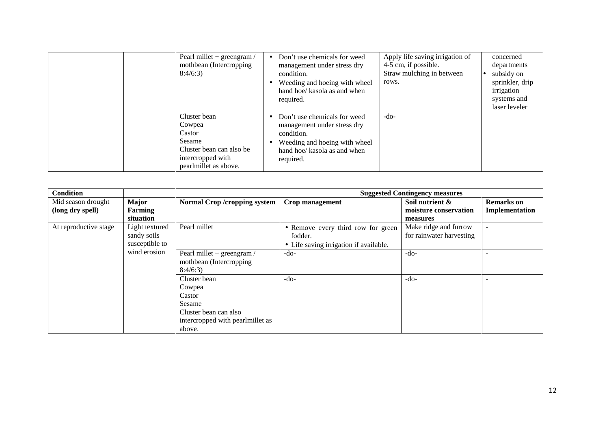| Pearl millet $+$ greengram /<br>mothbean (Intercropping)<br>8:4/6:3                                                  | $\bullet$ | Don't use chemicals for weed<br>management under stress dry<br>condition.<br>Weeding and hoeing with wheel<br>hand hoe/ kasola as and when<br>required. | Apply life saving irrigation of<br>4-5 cm, if possible.<br>Straw mulching in between<br>rows. | concerned<br>departments<br>subsidy on<br>sprinkler, drip<br>irrigation<br>systems and<br>laser leveler |
|----------------------------------------------------------------------------------------------------------------------|-----------|---------------------------------------------------------------------------------------------------------------------------------------------------------|-----------------------------------------------------------------------------------------------|---------------------------------------------------------------------------------------------------------|
| Cluster bean<br>Cowpea<br>Castor<br>Sesame<br>Cluster bean can also be<br>intercropped with<br>pearlmillet as above. | $\bullet$ | Don't use chemicals for weed<br>management under stress dry<br>condition.<br>Weeding and hoeing with wheel<br>hand hoe/ kasola as and when<br>required. | $-do-$                                                                                        |                                                                                                         |

| <b>Condition</b>      |                                                 |                                                                                                                   |                                                                                         | <b>Suggested Contingency measures</b>             |                          |
|-----------------------|-------------------------------------------------|-------------------------------------------------------------------------------------------------------------------|-----------------------------------------------------------------------------------------|---------------------------------------------------|--------------------------|
| Mid season drought    | <b>Major</b>                                    | <b>Normal Crop /cropping system</b>                                                                               | Crop management                                                                         | Soil nutrient &                                   | <b>Remarks</b> on        |
| (long dry spell)      | Farming<br>situation                            |                                                                                                                   |                                                                                         | moisture conservation<br>measures                 | Implementation           |
| At reproductive stage | Light textured<br>sandy soils<br>susceptible to | Pearl millet                                                                                                      | • Remove every third row for green<br>fodder.<br>• Life saving irrigation if available. | Make ridge and furrow<br>for rainwater harvesting | $\overline{\phantom{a}}$ |
|                       | wind erosion                                    | Pearl millet + greengram /<br>mothbean (Intercropping)<br>8:4/6:3                                                 | $-do-$                                                                                  | $-do-$                                            | $\overline{\phantom{a}}$ |
|                       |                                                 | Cluster bean<br>Cowpea<br>Castor<br>Sesame<br>Cluster bean can also<br>intercropped with pearlmillet as<br>above. | $-do-$                                                                                  | $-do-$                                            | $\overline{\phantom{a}}$ |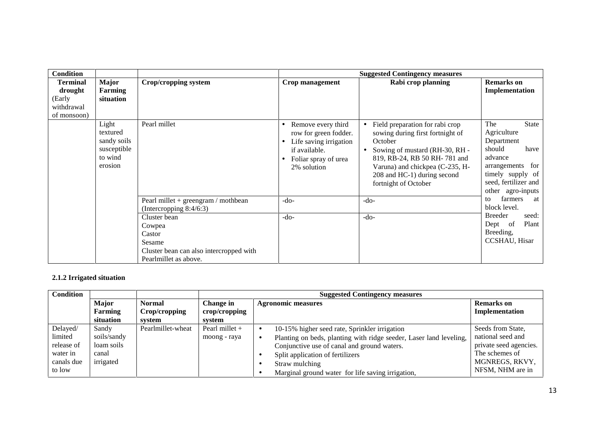| <b>Condition</b>                                                  |                                                                       |                                                                                                                |                                                                                                                                            | <b>Suggested Contingency measures</b>                                                                                                                                                                                                        |                                                                                                                                                                       |
|-------------------------------------------------------------------|-----------------------------------------------------------------------|----------------------------------------------------------------------------------------------------------------|--------------------------------------------------------------------------------------------------------------------------------------------|----------------------------------------------------------------------------------------------------------------------------------------------------------------------------------------------------------------------------------------------|-----------------------------------------------------------------------------------------------------------------------------------------------------------------------|
| <b>Terminal</b><br>drought<br>(Early<br>withdrawal<br>of monsoon) | Major<br>Farming<br>situation                                         | Crop/cropping system                                                                                           | Crop management                                                                                                                            | Rabi crop planning                                                                                                                                                                                                                           | <b>Remarks</b> on<br>Implementation                                                                                                                                   |
|                                                                   | Light<br>textured<br>sandy soils<br>susceptible<br>to wind<br>erosion | Pearl millet                                                                                                   | Remove every third<br>$\bullet$<br>row for green fodder.<br>Life saving irrigation<br>if available.<br>Foliar spray of urea<br>2% solution | Field preparation for rabi crop<br>sowing during first fortnight of<br>October<br>• Sowing of mustard (RH-30, RH -<br>819, RB-24, RB 50 RH-781 and<br>Varuna) and chickpea (C-235, H-<br>208 and HC-1) during second<br>fortnight of October | The<br><b>State</b><br>Agriculture<br>Department<br>should<br>have<br>advance<br>for<br>arrangements<br>timely supply of<br>seed, fertilizer and<br>other agro-inputs |
|                                                                   |                                                                       | Pearl millet $+$ greengram / mothbean<br>(Intercropping 8:4/6:3)                                               | $-do-$                                                                                                                                     | $-do-$                                                                                                                                                                                                                                       | farmers<br>to<br>at<br>block level.<br><b>Breeder</b><br>seed:                                                                                                        |
|                                                                   |                                                                       | Cluster bean<br>Cowpea<br>Castor<br>Sesame<br>Cluster bean can also intercropped with<br>Pearlmillet as above. | $-do-$                                                                                                                                     | $-do-$                                                                                                                                                                                                                                       | Plant<br>of<br>Dept<br>Breeding,<br><b>CCSHAU</b> , Hisar                                                                                                             |

## **2.1.2 Irrigated situation**

| <b>Condition</b> |              |                   |                  | <b>Suggested Contingency measures</b>                              |                        |
|------------------|--------------|-------------------|------------------|--------------------------------------------------------------------|------------------------|
|                  | <b>Major</b> | <b>Normal</b>     | <b>Change in</b> | <b>Agronomic measures</b>                                          | <b>Remarks</b> on      |
|                  | Farming      | Crop/cropping     | crop/cropping    |                                                                    | Implementation         |
|                  | situation    | system            | system           |                                                                    |                        |
| Delayed/         | Sandy        | Pearlmillet-wheat | Pearl millet $+$ | 10-15% higher seed rate, Sprinkler irrigation                      | Seeds from State,      |
| limited          | soils/sandy  |                   | moong - raya     | Planting on beds, planting with ridge seeder, Laser land leveling, | national seed and      |
| release of       | loam soils   |                   |                  | Conjunctive use of canal and ground waters.                        | private seed agencies. |
| water in         | canal        |                   |                  | Split application of fertilizers                                   | The schemes of         |
| canals due       | irrigated    |                   |                  | Straw mulching                                                     | MGNREGS, RKVY,         |
| to low           |              |                   |                  | Marginal ground water for life saving irrigation,                  | NFSM, NHM are in       |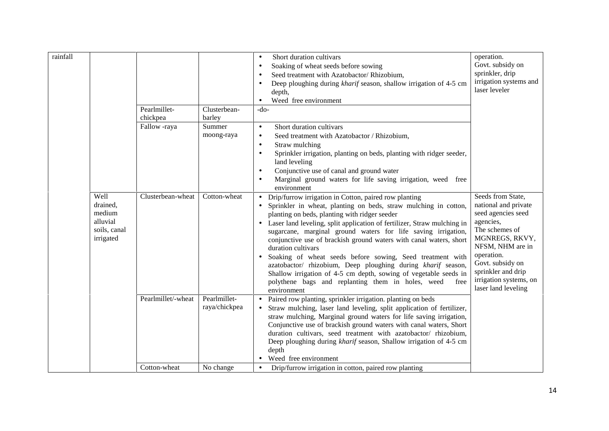| rainfall |                                                                     |                                          |                                                | Short duration cultivars<br>$\bullet$<br>Soaking of wheat seeds before sowing<br>$\bullet$<br>Seed treatment with Azatobactor/Rhizobium,<br>Deep ploughing during <i>kharif</i> season, shallow irrigation of 4-5 cm<br>$\bullet$<br>depth,                                                                                                                                                                                                                                                                                                                                                                                                                                                                                           | operation.<br>Govt. subsidy on<br>sprinkler, drip<br>irrigation systems and<br>laser leveler                                                                                                                                                  |
|----------|---------------------------------------------------------------------|------------------------------------------|------------------------------------------------|---------------------------------------------------------------------------------------------------------------------------------------------------------------------------------------------------------------------------------------------------------------------------------------------------------------------------------------------------------------------------------------------------------------------------------------------------------------------------------------------------------------------------------------------------------------------------------------------------------------------------------------------------------------------------------------------------------------------------------------|-----------------------------------------------------------------------------------------------------------------------------------------------------------------------------------------------------------------------------------------------|
|          |                                                                     | Pearlmillet-<br>chickpea<br>Fallow -raya | Clusterbean-<br>barley<br>Summer<br>moong-raya | Weed free environment<br>$-do-$<br>Short duration cultivars<br>$\bullet$<br>Seed treatment with Azatobactor / Rhizobium,<br>$\bullet$<br>Straw mulching<br>$\bullet$<br>Sprinkler irrigation, planting on beds, planting with ridger seeder,<br>land leveling<br>Conjunctive use of canal and ground water<br>Marginal ground waters for life saving irrigation, weed free<br>environment                                                                                                                                                                                                                                                                                                                                             |                                                                                                                                                                                                                                               |
|          | Well<br>drained,<br>medium<br>alluvial<br>soils, canal<br>irrigated | Clusterbean-wheat                        | Cotton-wheat                                   | Drip/furrow irrigation in Cotton, paired row planting<br>$\bullet$<br>Sprinkler in wheat, planting on beds, straw mulching in cotton,<br>$\bullet$<br>planting on beds, planting with ridger seeder<br>Laser land leveling, split application of fertilizer, Straw mulching in<br>$\bullet$<br>sugarcane, marginal ground waters for life saving irrigation,<br>conjunctive use of brackish ground waters with canal waters, short<br>duration cultivars<br>Soaking of wheat seeds before sowing, Seed treatment with<br>azatobactor/ rhizobium, Deep ploughing during kharif season,<br>Shallow irrigation of 4-5 cm depth, sowing of vegetable seeds in<br>polythene bags and replanting them in holes, weed<br>free<br>environment | Seeds from State,<br>national and private<br>seed agencies seed<br>agencies,<br>The schemes of<br>MGNREGS, RKVY,<br>NFSM, NHM are in<br>operation.<br>Govt. subsidy on<br>sprinkler and drip<br>irrigation systems, on<br>laser land leveling |
|          |                                                                     | Pearlmillet/-wheat                       | Pearlmillet-<br>raya/chickpea                  | Paired row planting, sprinkler irrigation. planting on beds<br>Straw mulching, laser land leveling, split application of fertilizer,<br>straw mulching, Marginal ground waters for life saving irrigation,<br>Conjunctive use of brackish ground waters with canal waters, Short<br>duration cultivars, seed treatment with azatobactor/ rhizobium,<br>Deep ploughing during <i>kharif</i> season, Shallow irrigation of 4-5 cm<br>depth<br>Weed free environment                                                                                                                                                                                                                                                                     |                                                                                                                                                                                                                                               |
|          |                                                                     | Cotton-wheat                             | No change                                      | Drip/furrow irrigation in cotton, paired row planting<br>$\bullet$                                                                                                                                                                                                                                                                                                                                                                                                                                                                                                                                                                                                                                                                    |                                                                                                                                                                                                                                               |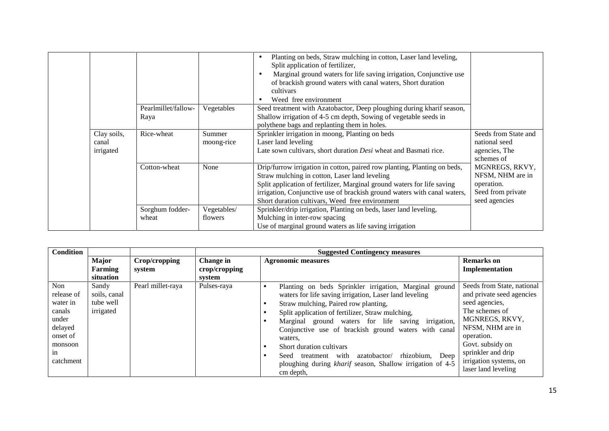|                    |                     |             | Planting on beds, Straw mulching in cotton, Laser land leveling,<br>Split application of fertilizer,<br>Marginal ground waters for life saving irrigation, Conjunctive use<br>of brackish ground waters with canal waters, Short duration<br>cultivars<br>Weed free environment |                                                  |
|--------------------|---------------------|-------------|---------------------------------------------------------------------------------------------------------------------------------------------------------------------------------------------------------------------------------------------------------------------------------|--------------------------------------------------|
|                    | Pearlmillet/fallow- | Vegetables  | Seed treatment with Azatobactor, Deep ploughing during kharif season,                                                                                                                                                                                                           |                                                  |
|                    | Raya                |             | Shallow irrigation of 4-5 cm depth, Sowing of vegetable seeds in                                                                                                                                                                                                                |                                                  |
|                    |                     |             | polythene bags and replanting them in holes.                                                                                                                                                                                                                                    |                                                  |
| Clay soils,        | Rice-wheat          | Summer      | Sprinkler irrigation in moong, Planting on beds                                                                                                                                                                                                                                 | Seeds from State and<br>national seed            |
| canal<br>irrigated |                     | moong-rice  | Laser land leveling<br>Late sown cultivars, short duration Desi wheat and Basmati rice.                                                                                                                                                                                         | agencies, The<br>schemes of                      |
|                    | Cotton-wheat        | None        | Drip/furrow irrigation in cotton, paired row planting, Planting on beds,<br>Straw mulching in cotton, Laser land leveling<br>Split application of fertilizer, Marginal ground waters for life saving                                                                            | MGNREGS, RKVY,<br>NFSM, NHM are in<br>operation. |
|                    |                     |             | irrigation, Conjunctive use of brackish ground waters with canal waters,<br>Short duration cultivars, Weed free environment                                                                                                                                                     | Seed from private<br>seed agencies               |
|                    | Sorghum fodder-     | Vegetables/ | Sprinkler/drip irrigation, Planting on beds, laser land leveling,                                                                                                                                                                                                               |                                                  |
|                    | wheat               | flowers     | Mulching in inter-row spacing                                                                                                                                                                                                                                                   |                                                  |
|                    |                     |             | Use of marginal ground waters as life saving irrigation                                                                                                                                                                                                                         |                                                  |

| <b>Condition</b>                                                                                      |                                                 |                         | <b>Suggested Contingency measures</b> |                                                                                                                                                                                                                                                                                                                                                                                                                                                                                                                    |                                                                                                                                                                                                                                            |  |  |
|-------------------------------------------------------------------------------------------------------|-------------------------------------------------|-------------------------|---------------------------------------|--------------------------------------------------------------------------------------------------------------------------------------------------------------------------------------------------------------------------------------------------------------------------------------------------------------------------------------------------------------------------------------------------------------------------------------------------------------------------------------------------------------------|--------------------------------------------------------------------------------------------------------------------------------------------------------------------------------------------------------------------------------------------|--|--|
|                                                                                                       | Major<br><b>Farming</b><br>situation            | Crop/cropping<br>system | Change in<br>crop/cropping<br>system  | <b>Agronomic measures</b>                                                                                                                                                                                                                                                                                                                                                                                                                                                                                          | <b>Remarks</b> on<br>Implementation                                                                                                                                                                                                        |  |  |
| Non<br>release of<br>water in<br>canals<br>under<br>delayed<br>onset of<br>monsoon<br>1n<br>catchment | Sandy<br>soils, canal<br>tube well<br>irrigated | Pearl millet-raya       | Pulses-raya                           | Planting on beds Sprinkler irrigation, Marginal ground<br>waters for life saving irrigation, Laser land leveling<br>Straw mulching, Paired row planting,<br>Split application of fertilizer, Straw mulching,<br>Marginal ground waters for life saving irrigation,<br>Conjunctive use of brackish ground waters with canal<br>waters,<br>Short duration cultivars<br>with<br>rhizobium, Deep<br>Seed<br>azatobactor/<br>treatment<br>ploughing during <i>kharif</i> season, Shallow irrigation of 4-5<br>cm depth. | Seeds from State, national<br>and private seed agencies<br>seed agencies,<br>The schemes of<br>MGNREGS, RKVY,<br>NFSM, NHM are in<br>operation.<br>Govt. subsidy on<br>sprinkler and drip<br>irrigation systems, on<br>laser land leveling |  |  |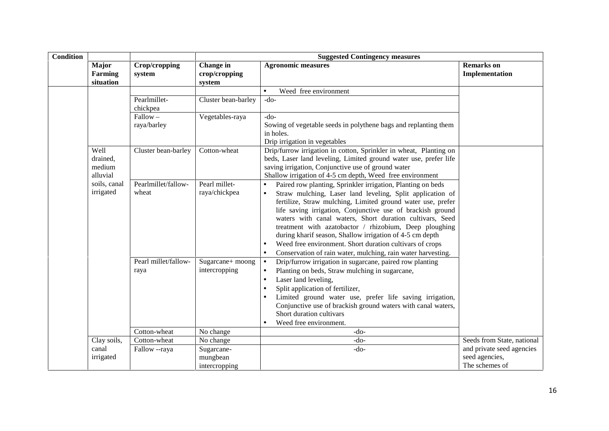| <b>Condition</b> |                                        |                              | <b>Suggested Contingency measures</b>   |                                                                                                                                                                                                                                                                                                                                                                                                                                                                                                                                                                     |                                                               |  |
|------------------|----------------------------------------|------------------------------|-----------------------------------------|---------------------------------------------------------------------------------------------------------------------------------------------------------------------------------------------------------------------------------------------------------------------------------------------------------------------------------------------------------------------------------------------------------------------------------------------------------------------------------------------------------------------------------------------------------------------|---------------------------------------------------------------|--|
|                  | Major<br><b>Farming</b><br>situation   | Crop/cropping<br>system      | Change in<br>crop/cropping<br>system    | <b>Agronomic measures</b>                                                                                                                                                                                                                                                                                                                                                                                                                                                                                                                                           | <b>Remarks</b> on<br>Implementation                           |  |
|                  |                                        |                              |                                         | Weed free environment<br>$\bullet$                                                                                                                                                                                                                                                                                                                                                                                                                                                                                                                                  |                                                               |  |
|                  |                                        | Pearlmillet-<br>chickpea     | Cluster bean-barley                     | $-do-$                                                                                                                                                                                                                                                                                                                                                                                                                                                                                                                                                              |                                                               |  |
|                  |                                        | $Fallow -$<br>raya/barley    | Vegetables-raya                         | $-do-$<br>Sowing of vegetable seeds in polythene bags and replanting them<br>in holes.<br>Drip irrigation in vegetables                                                                                                                                                                                                                                                                                                                                                                                                                                             |                                                               |  |
|                  | Well<br>drained,<br>medium<br>alluvial | Cluster bean-barley          | Cotton-wheat                            | Drip/furrow irrigation in cotton, Sprinkler in wheat, Planting on<br>beds, Laser land leveling, Limited ground water use, prefer life<br>saving irrigation, Conjunctive use of ground water<br>Shallow irrigation of 4-5 cm depth, Weed free environment                                                                                                                                                                                                                                                                                                            |                                                               |  |
|                  | soils, canal<br>irrigated              | Pearlmillet/fallow-<br>wheat | Pearl millet-<br>raya/chickpea          | Paired row planting, Sprinkler irrigation, Planting on beds<br>Straw mulching, Laser land leveling, Split application of<br>fertilize, Straw mulching, Limited ground water use, prefer<br>life saving irrigation, Conjunctive use of brackish ground<br>waters with canal waters, Short duration cultivars, Seed<br>treatment with azatobactor / rhizobium, Deep ploughing<br>during kharif season, Shallow irrigation of 4-5 cm depth<br>Weed free environment. Short duration cultivars of crops<br>Conservation of rain water, mulching, rain water harvesting. |                                                               |  |
|                  |                                        | Pearl millet/fallow-<br>raya | Sugarcane+ moong<br>intercropping       | Drip/furrow irrigation in sugarcane, paired row planting<br>$\bullet$<br>Planting on beds, Straw mulching in sugarcane,<br>Laser land leveling,<br>$\bullet$<br>Split application of fertilizer,<br>$\bullet$<br>Limited ground water use, prefer life saving irrigation,<br>Conjunctive use of brackish ground waters with canal waters,<br>Short duration cultivars<br>Weed free environment.                                                                                                                                                                     |                                                               |  |
|                  |                                        | Cotton-wheat                 | No change                               | $-do-$                                                                                                                                                                                                                                                                                                                                                                                                                                                                                                                                                              |                                                               |  |
|                  | Clay soils,                            | Cotton-wheat                 | No change                               | $-do-$                                                                                                                                                                                                                                                                                                                                                                                                                                                                                                                                                              | Seeds from State, national                                    |  |
|                  | canal<br>irrigated                     | Fallow --raya                | Sugarcane-<br>mungbean<br>intercropping | $-do-$                                                                                                                                                                                                                                                                                                                                                                                                                                                                                                                                                              | and private seed agencies<br>seed agencies,<br>The schemes of |  |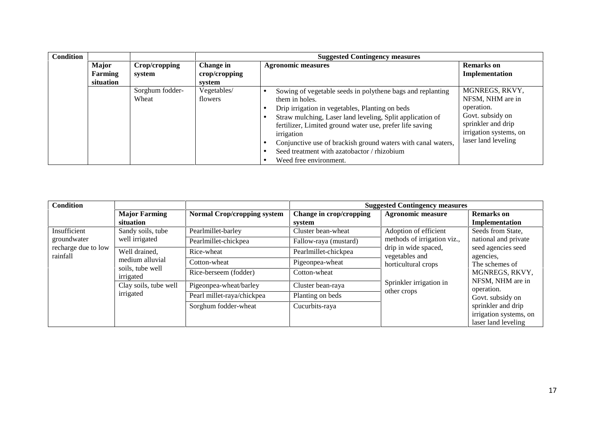| <b>Condition</b> |              |                          |                           | <b>Suggested Contingency measures</b>                                                                                                                                                                                                                                                                                           |                                                                                                       |  |  |
|------------------|--------------|--------------------------|---------------------------|---------------------------------------------------------------------------------------------------------------------------------------------------------------------------------------------------------------------------------------------------------------------------------------------------------------------------------|-------------------------------------------------------------------------------------------------------|--|--|
|                  | <b>Major</b> | Crop/cropping            | Change in                 | <b>Agronomic measures</b>                                                                                                                                                                                                                                                                                                       | <b>Remarks</b> on                                                                                     |  |  |
|                  | Farming      | system                   | $\mathbf{crop/c}$ ropping |                                                                                                                                                                                                                                                                                                                                 | Implementation                                                                                        |  |  |
|                  | situation    |                          | system                    |                                                                                                                                                                                                                                                                                                                                 |                                                                                                       |  |  |
|                  |              | Sorghum fodder-<br>Wheat | Vegetables/<br>flowers    | Sowing of vegetable seeds in polythene bags and replanting<br>them in holes.                                                                                                                                                                                                                                                    | MGNREGS, RKVY,<br>NFSM, NHM are in                                                                    |  |  |
|                  |              |                          |                           | Drip irrigation in vegetables, Planting on beds<br>Straw mulching, Laser land leveling, Split application of<br>fertilizer, Limited ground water use, prefer life saving<br>irrigation<br>Conjunctive use of brackish ground waters with canal waters,<br>Seed treatment with azatobactor / rhizobium<br>Weed free environment. | operation.<br>Govt. subsidy on<br>sprinkler and drip<br>irrigation systems, on<br>laser land leveling |  |  |

| <b>Major Farming</b><br>situation                                                                       | <b>Normal Crop/cropping system</b>    | Change in crop/cropping<br>system                  | <b>Agronomic measure</b>                                                    | <b>Remarks</b> on<br>Implementation                                                                         |
|---------------------------------------------------------------------------------------------------------|---------------------------------------|----------------------------------------------------|-----------------------------------------------------------------------------|-------------------------------------------------------------------------------------------------------------|
| Sandy soils, tube                                                                                       | Pearlmillet-barley                    | Cluster bean-wheat                                 | Adoption of efficient                                                       | Seeds from State,<br>national and private                                                                   |
| Well drained,<br>medium alluvial<br>soils, tube well<br>irrigated<br>Clay soils, tube well<br>irrigated | Rice-wheat                            | Pearlmillet-chickpea                               | drip in wide spaced,<br>seed agencies seed<br>agencies.                     |                                                                                                             |
|                                                                                                         | Cotton-wheat<br>Rice-berseem (fodder) | Pigeonpea-wheat<br>Cotton-wheat                    | horticultural crops<br>Sprinkler irrigation in<br>operation.<br>other crops | The schemes of<br>MGNREGS, RKVY,                                                                            |
|                                                                                                         | Pigeonpea-wheat/barley                | Cluster bean-raya                                  |                                                                             | NFSM, NHM are in<br>Govt. subsidy on<br>sprinkler and drip<br>irrigation systems, on<br>laser land leveling |
|                                                                                                         | Sorghum fodder-wheat                  | Cucurbits-raya                                     |                                                                             |                                                                                                             |
|                                                                                                         | well irrigated                        | Pearlmillet-chickpea<br>Pearl millet-raya/chickpea | Fallow-raya (mustard)<br>Planting on beds                                   | <b>Suggested Contingency measures</b><br>methods of irrigation viz.,<br>vegetables and                      |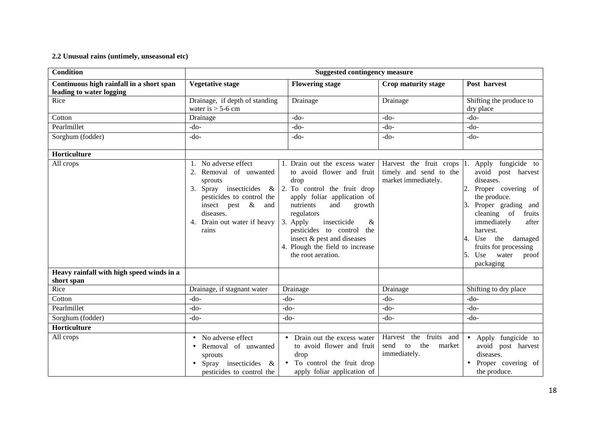## **2.2 Unusual rains (untimely, unseasonal etc)**

| <b>Condition</b>                                                     | <b>Suggested contingency measure</b>                                                                                                                                                                       |                                                                                                                                                                                                                                                                                                                                      |                                                                              |                                                                                                                                                                                                                                                                         |  |  |
|----------------------------------------------------------------------|------------------------------------------------------------------------------------------------------------------------------------------------------------------------------------------------------------|--------------------------------------------------------------------------------------------------------------------------------------------------------------------------------------------------------------------------------------------------------------------------------------------------------------------------------------|------------------------------------------------------------------------------|-------------------------------------------------------------------------------------------------------------------------------------------------------------------------------------------------------------------------------------------------------------------------|--|--|
| Continuous high rainfall in a short span<br>leading to water logging | <b>Vegetative stage</b>                                                                                                                                                                                    | <b>Flowering stage</b>                                                                                                                                                                                                                                                                                                               | Crop maturity stage                                                          | Post harvest                                                                                                                                                                                                                                                            |  |  |
| Rice                                                                 | Drainage, if depth of standing<br>water is $>$ 5-6 cm                                                                                                                                                      | Drainage                                                                                                                                                                                                                                                                                                                             | Drainage                                                                     | Shifting the produce to<br>dry place                                                                                                                                                                                                                                    |  |  |
| Cotton                                                               | Drainage                                                                                                                                                                                                   | $-do-$                                                                                                                                                                                                                                                                                                                               | $-do-$                                                                       | $-do-$                                                                                                                                                                                                                                                                  |  |  |
| Pearlmillet                                                          | $-do-$                                                                                                                                                                                                     | $-do-$                                                                                                                                                                                                                                                                                                                               | $-do-$                                                                       | $-do-$                                                                                                                                                                                                                                                                  |  |  |
| Sorghum (fodder)                                                     | $-do-$                                                                                                                                                                                                     | $-do-$                                                                                                                                                                                                                                                                                                                               | $-do-$                                                                       | $-do-$                                                                                                                                                                                                                                                                  |  |  |
| Horticulture                                                         |                                                                                                                                                                                                            |                                                                                                                                                                                                                                                                                                                                      |                                                                              |                                                                                                                                                                                                                                                                         |  |  |
| All crops                                                            | 1. No adverse effect<br>Removal of unwanted<br>2.<br>sprouts<br>Spray insecticides<br>3.<br>$\&$<br>pesticides to control the<br>insect pest &<br>and<br>diseases.<br>4. Drain out water if heavy<br>rains | 1. Drain out the excess water<br>to avoid flower and fruit<br>drop<br>2. To control the fruit drop<br>apply foliar application of<br>and<br>nutrients<br>growth<br>regulators<br>3. Apply<br>insecticide<br>&<br>pesticides to control<br>the<br>insect & pest and diseases<br>4. Plough the field to increase<br>the root aeration. | Harvest the fruit crops  1.<br>timely and send to the<br>market immediately. | Apply fungicide to<br>avoid post harvest<br>diseases.<br>Proper covering of<br>the produce.<br>Proper grading and<br>cleaning of<br>fruits<br>immediately<br>after<br>harvest.<br>Use the damaged<br>fruits for processing<br>Use<br>water<br>proof<br>I5.<br>packaging |  |  |
| Heavy rainfall with high speed winds in a<br>short span              |                                                                                                                                                                                                            |                                                                                                                                                                                                                                                                                                                                      |                                                                              |                                                                                                                                                                                                                                                                         |  |  |
| Rice                                                                 | Drainage, if stagnant water                                                                                                                                                                                | Drainage                                                                                                                                                                                                                                                                                                                             | Drainage                                                                     | Shifting to dry place                                                                                                                                                                                                                                                   |  |  |
| Cotton                                                               | $-do-$                                                                                                                                                                                                     | $-do-$                                                                                                                                                                                                                                                                                                                               | $-do-$                                                                       | $-do-$                                                                                                                                                                                                                                                                  |  |  |
| Pearlmillet                                                          | $-do-$                                                                                                                                                                                                     | $-do-$                                                                                                                                                                                                                                                                                                                               | $-do-$                                                                       | $-do-$                                                                                                                                                                                                                                                                  |  |  |
| Sorghum (fodder)                                                     | $-do-$                                                                                                                                                                                                     | $-do-$                                                                                                                                                                                                                                                                                                                               | $-do-$                                                                       | $-do-$                                                                                                                                                                                                                                                                  |  |  |
| Horticulture                                                         |                                                                                                                                                                                                            |                                                                                                                                                                                                                                                                                                                                      |                                                                              |                                                                                                                                                                                                                                                                         |  |  |
| All crops                                                            | No adverse effect<br>$\bullet$<br>Removal of unwanted<br>sprouts<br>Spray insecticides<br>&<br>$\bullet$<br>pesticides to control the                                                                      | Drain out the excess water<br>$\bullet$<br>to avoid flower and fruit<br>drop<br>To control the fruit drop<br>apply foliar application of                                                                                                                                                                                             | Harvest the fruits and<br>send<br>the<br>market<br>to<br>immediately.        | Apply fungicide to<br>avoid post harvest<br>diseases.<br>Proper covering of<br>the produce.                                                                                                                                                                             |  |  |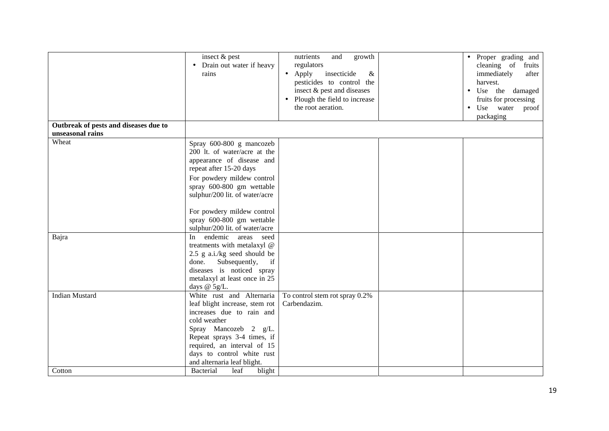| Outbreak of pests and diseases due to | insect & pest<br>Drain out water if heavy<br>$\bullet$<br>rains                                                                                                                                                                                                                                            | and<br>nutrients<br>growth<br>regulators<br>insecticide<br>$\bullet$ Apply<br>$\&$<br>pesticides to control the<br>insect & pest and diseases<br>• Plough the field to increase<br>the root aeration. | • Proper grading and<br>cleaning of fruits<br>immediately<br>after<br>harvest.<br>Use the damaged<br>٠<br>fruits for processing<br>• Use water<br>proof<br>packaging |
|---------------------------------------|------------------------------------------------------------------------------------------------------------------------------------------------------------------------------------------------------------------------------------------------------------------------------------------------------------|-------------------------------------------------------------------------------------------------------------------------------------------------------------------------------------------------------|----------------------------------------------------------------------------------------------------------------------------------------------------------------------|
| unseasonal rains                      |                                                                                                                                                                                                                                                                                                            |                                                                                                                                                                                                       |                                                                                                                                                                      |
| Wheat                                 | Spray 600-800 g mancozeb<br>200 lt. of water/acre at the<br>appearance of disease and<br>repeat after 15-20 days<br>For powdery mildew control<br>spray 600-800 gm wettable<br>sulphur/200 lit. of water/acre<br>For powdery mildew control<br>spray 600-800 gm wettable<br>sulphur/200 lit. of water/acre |                                                                                                                                                                                                       |                                                                                                                                                                      |
| Bajra                                 | In endemic areas seed<br>treatments with metalaxyl @<br>2.5 g a.i./kg seed should be<br>done. Subsequently,<br>if<br>diseases is noticed spray<br>metalaxyl at least once in 25<br>days $@$ 5g/L.                                                                                                          |                                                                                                                                                                                                       |                                                                                                                                                                      |
| <b>Indian Mustard</b><br>Cotton       | White rust and Alternaria<br>leaf blight increase, stem rot<br>increases due to rain and<br>cold weather<br>Spray Mancozeb 2 g/L.<br>Repeat sprays 3-4 times, if<br>required, an interval of 15<br>days to control white rust<br>and alternaria leaf blight.<br>Bacterial<br>leaf<br>blight                | To control stem rot spray 0.2%<br>Carbendazim.                                                                                                                                                        |                                                                                                                                                                      |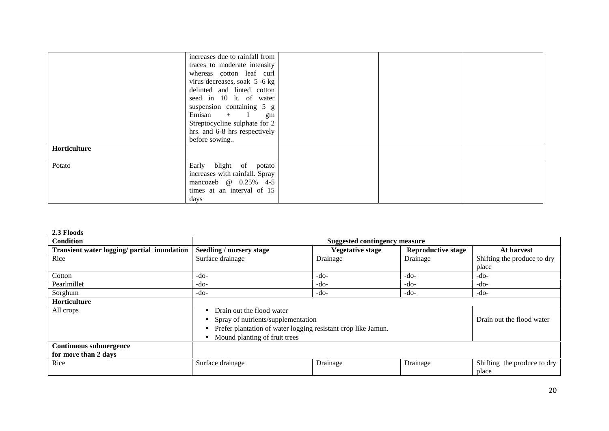|                     | increases due to rainfall from<br>traces to moderate intensity<br>whereas cotton leaf curl<br>virus decreases, soak 5 -6 kg<br>delinted and linted cotton<br>seed in 10 lt. of water<br>suspension containing 5 g<br>Emisan $+$ 1<br>gm<br>Streptocycline sulphate for 2<br>hrs. and 6-8 hrs respectively |  |
|---------------------|-----------------------------------------------------------------------------------------------------------------------------------------------------------------------------------------------------------------------------------------------------------------------------------------------------------|--|
| <b>Horticulture</b> | before sowing                                                                                                                                                                                                                                                                                             |  |
| Potato              | Early blight of potato<br>increases with rainfall. Spray<br>mancozeb @ 0.25% 4-5<br>times at an interval of 15<br>days                                                                                                                                                                                    |  |

## **2.3 Floods**

| Condition                                             | <b>Suggested contingency measure</b> |                                                                                                                                      |                           |                                      |  |
|-------------------------------------------------------|--------------------------------------|--------------------------------------------------------------------------------------------------------------------------------------|---------------------------|--------------------------------------|--|
| Transient water logging/ partial inundation           | Seedling / nursery stage             | <b>Vegetative stage</b>                                                                                                              | <b>Reproductive stage</b> | At harvest                           |  |
| Rice                                                  | Surface drainage                     | Drainage                                                                                                                             | Drainage                  | Shifting the produce to dry          |  |
|                                                       |                                      |                                                                                                                                      |                           | place                                |  |
| Cotton                                                | $-do-$                               | $-do-$                                                                                                                               | $-do-$                    | $-do-$                               |  |
| Pearlmillet                                           | -do-                                 | -do-                                                                                                                                 | -do-                      | $-do-$                               |  |
| Sorghum                                               | $-do-$                               | -do-                                                                                                                                 | -do-                      | $-do-$                               |  |
| Horticulture                                          |                                      |                                                                                                                                      |                           |                                      |  |
| All crops                                             | Drain out the flood water            | Spray of nutrients/supplementation<br>Prefer plantation of water logging resistant crop like Jamun.<br>Mound planting of fruit trees |                           |                                      |  |
| <b>Continuous submergence</b><br>for more than 2 days |                                      |                                                                                                                                      |                           |                                      |  |
| Rice                                                  | Surface drainage                     | Drainage                                                                                                                             | Drainage                  | Shifting the produce to dry<br>place |  |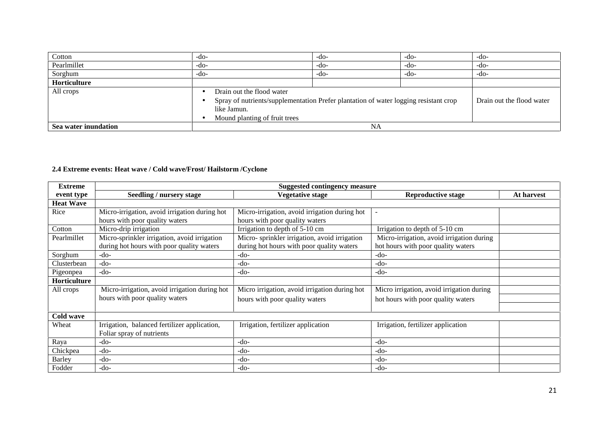| Cotton               | -do-                                                                                                                           | $-do-$ | -do- | -do-   |  |
|----------------------|--------------------------------------------------------------------------------------------------------------------------------|--------|------|--------|--|
| Pearlmillet          | -do-                                                                                                                           | -do-   | -do- | $-do-$ |  |
| Sorghum              | -do-                                                                                                                           | -do-   | -do- | $-do-$ |  |
| Horticulture         |                                                                                                                                |        |      |        |  |
| All crops            | Drain out the flood water<br>$\bullet$                                                                                         |        |      |        |  |
|                      | Drain out the flood water<br>Spray of nutrients/supplementation Prefer plantation of water logging resistant crop<br>$\bullet$ |        |      |        |  |
|                      | like Jamun.                                                                                                                    |        |      |        |  |
|                      | Mound planting of fruit trees<br>$\bullet$                                                                                     |        |      |        |  |
| Sea water inundation | NA                                                                                                                             |        |      |        |  |

# **2.4 Extreme events: Heat wave / Cold wave/Frost/ Hailstorm /Cyclone**

| <b>Extreme</b>   | <b>Suggested contingency measure</b>          |                                               |                                           |            |  |  |
|------------------|-----------------------------------------------|-----------------------------------------------|-------------------------------------------|------------|--|--|
| event type       | Seedling / nursery stage                      | <b>Vegetative stage</b>                       | <b>Reproductive stage</b>                 | At harvest |  |  |
| <b>Heat Wave</b> |                                               |                                               |                                           |            |  |  |
| Rice             | Micro-irrigation, avoid irrigation during hot | Micro-irrigation, avoid irrigation during hot |                                           |            |  |  |
|                  | hours with poor quality waters                | hours with poor quality waters                |                                           |            |  |  |
| Cotton           | Micro-drip irrigation                         | Irrigation to depth of 5-10 cm                | Irrigation to depth of 5-10 cm            |            |  |  |
| Pearlmillet      | Micro-sprinkler irrigation, avoid irrigation  | Micro-sprinkler irrigation, avoid irrigation  | Micro-irrigation, avoid irrigation during |            |  |  |
|                  | during hot hours with poor quality waters     | during hot hours with poor quality waters     | hot hours with poor quality waters        |            |  |  |
| Sorghum          | -do-                                          | $-do-$                                        | $-do-$                                    |            |  |  |
| Clusterbean      | $-do-$                                        | $-do-$                                        | $-do-$                                    |            |  |  |
| Pigeonpea        | -do-                                          | $-do-$                                        | $-do-$                                    |            |  |  |
| Horticulture     |                                               |                                               |                                           |            |  |  |
| All crops        | Micro-irrigation, avoid irrigation during hot | Micro irrigation, avoid irrigation during hot | Micro irrigation, avoid irrigation during |            |  |  |
|                  | hours with poor quality waters                | hours with poor quality waters                | hot hours with poor quality waters        |            |  |  |
|                  |                                               |                                               |                                           |            |  |  |
| Cold wave        |                                               |                                               |                                           |            |  |  |
| Wheat            | Irrigation, balanced fertilizer application,  | Irrigation, fertilizer application            | Irrigation, fertilizer application        |            |  |  |
|                  | Foliar spray of nutrients                     |                                               |                                           |            |  |  |
| Raya             | -do-                                          | $-do-$                                        | $-do-$                                    |            |  |  |
| Chickpea         | $-do-$                                        | $-do-$                                        | $-do-$                                    |            |  |  |
| Barley           | -do-                                          | $-do-$                                        | $-do-$                                    |            |  |  |
| Fodder           | -do-                                          | $-do-$                                        | $-do-$                                    |            |  |  |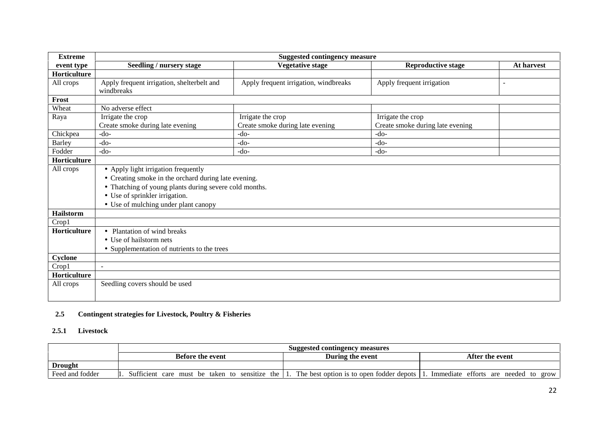| <b>Extreme</b> | <b>Suggested contingency measure</b>                                                                                                                                                                                            |                                       |                                  |                          |  |  |
|----------------|---------------------------------------------------------------------------------------------------------------------------------------------------------------------------------------------------------------------------------|---------------------------------------|----------------------------------|--------------------------|--|--|
| event type     | <b>Seedling / nursery stage</b>                                                                                                                                                                                                 | <b>Vegetative stage</b>               | <b>Reproductive stage</b>        | At harvest               |  |  |
| Horticulture   |                                                                                                                                                                                                                                 |                                       |                                  |                          |  |  |
| All crops      | Apply frequent irrigation, shelterbelt and<br>windbreaks                                                                                                                                                                        | Apply frequent irrigation, windbreaks | Apply frequent irrigation        | $\overline{\phantom{a}}$ |  |  |
| Frost          |                                                                                                                                                                                                                                 |                                       |                                  |                          |  |  |
| Wheat          | No adverse effect                                                                                                                                                                                                               |                                       |                                  |                          |  |  |
| Raya           | Irrigate the crop                                                                                                                                                                                                               | Irrigate the crop                     | Irrigate the crop                |                          |  |  |
|                | Create smoke during late evening                                                                                                                                                                                                | Create smoke during late evening      | Create smoke during late evening |                          |  |  |
| Chickpea       | $-do-$                                                                                                                                                                                                                          | $-do-$                                | $-do-$                           |                          |  |  |
| <b>Barley</b>  | $-do-$                                                                                                                                                                                                                          | $-do-$                                | $-do-$                           |                          |  |  |
| Fodder         | $-do-$                                                                                                                                                                                                                          | $-do-$                                | $-do-$                           |                          |  |  |
| Horticulture   |                                                                                                                                                                                                                                 |                                       |                                  |                          |  |  |
| All crops      | • Apply light irrigation frequently<br>• Creating smoke in the orchard during late evening.<br>• Thatching of young plants during severe cold months.<br>• Use of sprinkler irrigation.<br>• Use of mulching under plant canopy |                                       |                                  |                          |  |  |
| Hailstorm      |                                                                                                                                                                                                                                 |                                       |                                  |                          |  |  |
| Crop1          |                                                                                                                                                                                                                                 |                                       |                                  |                          |  |  |
| Horticulture   | • Plantation of wind breaks<br>• Use of hailstorm nets<br>• Supplementation of nutrients to the trees                                                                                                                           |                                       |                                  |                          |  |  |
| Cyclone        |                                                                                                                                                                                                                                 |                                       |                                  |                          |  |  |
| Crop1          | $\blacksquare$                                                                                                                                                                                                                  |                                       |                                  |                          |  |  |
| Horticulture   |                                                                                                                                                                                                                                 |                                       |                                  |                          |  |  |
| All crops      | Seedling covers should be used                                                                                                                                                                                                  |                                       |                                  |                          |  |  |

#### **2.5 Contingent strategies for Livestock, Poultry & Fisheries**

#### **2.5.1 Livestock**

|                 | Suggested contingency measures                 |                                          |                                      |
|-----------------|------------------------------------------------|------------------------------------------|--------------------------------------|
|                 | <b>Before the event</b>                        | During the event                         | After the event                      |
| <b>Drought</b>  |                                                |                                          |                                      |
| Feed and fodder | Sufficient care must be taken to sensitize the | The best option is to open fodder depots | Immediate efforts are needed to grow |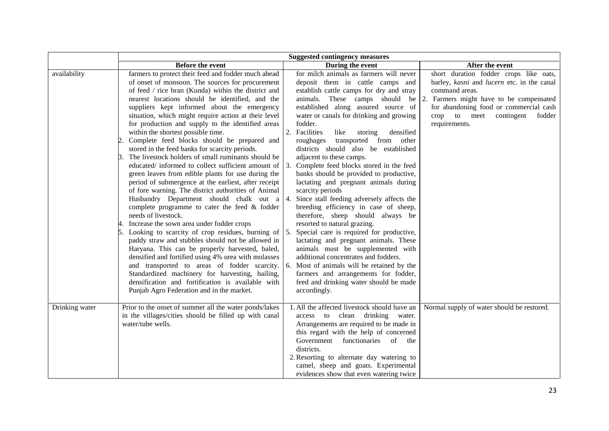|                |                                                                                                                                                                                                                                                                                                                                                                                                                                                                                                                                                                                                                                                                                                                                                                                                                                                                                                                                                                                                                                                                                                                                                                                                                                                                                                                                                                                                                                       | <b>Suggested contingency measures</b>                                                                                                                                                                                                                                                                                                                                                                                                                                                                                                                                                                                                                                                                                                                                                                                                                                                                                                                                                                                                                  |                                                                                                                                                                                                                                                   |  |
|----------------|---------------------------------------------------------------------------------------------------------------------------------------------------------------------------------------------------------------------------------------------------------------------------------------------------------------------------------------------------------------------------------------------------------------------------------------------------------------------------------------------------------------------------------------------------------------------------------------------------------------------------------------------------------------------------------------------------------------------------------------------------------------------------------------------------------------------------------------------------------------------------------------------------------------------------------------------------------------------------------------------------------------------------------------------------------------------------------------------------------------------------------------------------------------------------------------------------------------------------------------------------------------------------------------------------------------------------------------------------------------------------------------------------------------------------------------|--------------------------------------------------------------------------------------------------------------------------------------------------------------------------------------------------------------------------------------------------------------------------------------------------------------------------------------------------------------------------------------------------------------------------------------------------------------------------------------------------------------------------------------------------------------------------------------------------------------------------------------------------------------------------------------------------------------------------------------------------------------------------------------------------------------------------------------------------------------------------------------------------------------------------------------------------------------------------------------------------------------------------------------------------------|---------------------------------------------------------------------------------------------------------------------------------------------------------------------------------------------------------------------------------------------------|--|
|                | Before the event                                                                                                                                                                                                                                                                                                                                                                                                                                                                                                                                                                                                                                                                                                                                                                                                                                                                                                                                                                                                                                                                                                                                                                                                                                                                                                                                                                                                                      | During the event                                                                                                                                                                                                                                                                                                                                                                                                                                                                                                                                                                                                                                                                                                                                                                                                                                                                                                                                                                                                                                       | After the event                                                                                                                                                                                                                                   |  |
| availability   | farmers to protect their feed and fodder much ahead<br>of onset of monsoon. The sources for procurement<br>of feed / rice bran (Kunda) within the district and<br>nearest locations should be identified, and the<br>suppliers kept informed about the emergency<br>situation, which might require action at their level<br>for production and supply to the identified areas<br>within the shortest possible time.<br>Complete feed blocks should be prepared and<br>stored in the feed banks for scarcity periods.<br>The livestock holders of small ruminants should be<br>educated/ informed to collect sufficient amount of $\vert 3$ .<br>green leaves from edible plants for use during the<br>period of submergence at the earliest, after receipt<br>of fore warning. The district authorities of Animal<br>Husbandry Department should chalk out $a \mid 4$ .<br>complete programme to cater the feed & fodder<br>needs of livestock.<br>4. Increase the sown area under fodder crops<br>5. Looking to scarcity of crop residues, burning of $\vert$ 5.<br>paddy straw and stubbles should not be allowed in<br>Haryana. This can be properly harvested, baled,<br>densified and fortified using 4% urea with molasses<br>and transported to areas of fodder scarcity.<br>Standardized machinery for harvesting, bailing,<br>densification and fortification is available with<br>Punjab Agro Federation and in the market. | for milch animals as farmers will never<br>deposit them in cattle camps and<br>establish cattle camps for dry and stray<br>animals. These camps should be<br>established along assured source of<br>water or canals for drinking and growing<br>fodder.<br>2.<br>Facilities<br>like<br>densified<br>storing<br>transported from other<br>roughages<br>districts should also be established<br>adjacent to these camps.<br>Complete feed blocks stored in the feed<br>banks should be provided to productive,<br>lactating and pregnant animals during<br>scarcity periods<br>Since stall feeding adversely affects the<br>breeding efficiency in case of sheep,<br>therefore, sheep should always be<br>resorted to natural grazing.<br>Special care is required for productive,<br>lactating and pregnant animals. These<br>animals must be supplemented with<br>additional concentrates and fodders.<br>6. Most of animals will be retained by the<br>farmers and arrangements for fodder,<br>feed and drinking water should be made<br>accordingly. | short duration fodder crops like oats,<br>barley, kasni and lucern etc. in the canal<br>command areas.<br>2.<br>Farmers might have to be compensated<br>for abandoning food or commercial cash<br>crop to meet contingent fodder<br>requirements. |  |
| Drinking water | Prior to the onset of summer all the water ponds/lakes<br>in the villages/cities should be filled up with canal<br>water/tube wells.                                                                                                                                                                                                                                                                                                                                                                                                                                                                                                                                                                                                                                                                                                                                                                                                                                                                                                                                                                                                                                                                                                                                                                                                                                                                                                  | 1. All the affected livestock should have an<br>access to clean drinking water.<br>Arrangements are required to be made in<br>this regard with the help of concerned<br>Government<br>functionaries<br>of<br>the<br>districts.<br>2. Resorting to alternate day watering to<br>camel, sheep and goats. Experimental<br>evidences show that even watering twice                                                                                                                                                                                                                                                                                                                                                                                                                                                                                                                                                                                                                                                                                         | Normal supply of water should be restored.                                                                                                                                                                                                        |  |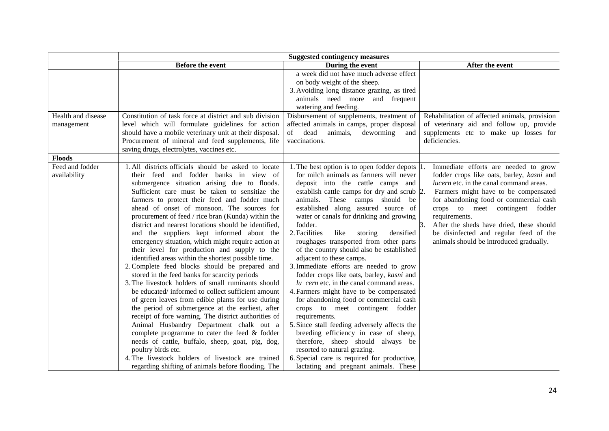| Before the event<br>Constitution of task force at district and sub division<br>level which will formulate guidelines for action                                                                                                                                                                                                                                                                                                                                                                                                                                                                                                                                                                                                                                                                                                                                                                                                                                                                                                                                                                                                                                                                                                    | During the event<br>a week did not have much adverse effect<br>on body weight of the sheep.<br>3. Avoiding long distance grazing, as tired<br>animals need more and frequent<br>watering and feeding.<br>Disbursement of supplements, treatment of                                                                                                                                                                                                                                                                                                                                                                                                                                                                                                                                                                                                                                                                                                                         | After the event                                                                                                                                                                                                                                                                                                                                                                                     |
|------------------------------------------------------------------------------------------------------------------------------------------------------------------------------------------------------------------------------------------------------------------------------------------------------------------------------------------------------------------------------------------------------------------------------------------------------------------------------------------------------------------------------------------------------------------------------------------------------------------------------------------------------------------------------------------------------------------------------------------------------------------------------------------------------------------------------------------------------------------------------------------------------------------------------------------------------------------------------------------------------------------------------------------------------------------------------------------------------------------------------------------------------------------------------------------------------------------------------------|----------------------------------------------------------------------------------------------------------------------------------------------------------------------------------------------------------------------------------------------------------------------------------------------------------------------------------------------------------------------------------------------------------------------------------------------------------------------------------------------------------------------------------------------------------------------------------------------------------------------------------------------------------------------------------------------------------------------------------------------------------------------------------------------------------------------------------------------------------------------------------------------------------------------------------------------------------------------------|-----------------------------------------------------------------------------------------------------------------------------------------------------------------------------------------------------------------------------------------------------------------------------------------------------------------------------------------------------------------------------------------------------|
|                                                                                                                                                                                                                                                                                                                                                                                                                                                                                                                                                                                                                                                                                                                                                                                                                                                                                                                                                                                                                                                                                                                                                                                                                                    |                                                                                                                                                                                                                                                                                                                                                                                                                                                                                                                                                                                                                                                                                                                                                                                                                                                                                                                                                                            |                                                                                                                                                                                                                                                                                                                                                                                                     |
|                                                                                                                                                                                                                                                                                                                                                                                                                                                                                                                                                                                                                                                                                                                                                                                                                                                                                                                                                                                                                                                                                                                                                                                                                                    |                                                                                                                                                                                                                                                                                                                                                                                                                                                                                                                                                                                                                                                                                                                                                                                                                                                                                                                                                                            |                                                                                                                                                                                                                                                                                                                                                                                                     |
|                                                                                                                                                                                                                                                                                                                                                                                                                                                                                                                                                                                                                                                                                                                                                                                                                                                                                                                                                                                                                                                                                                                                                                                                                                    |                                                                                                                                                                                                                                                                                                                                                                                                                                                                                                                                                                                                                                                                                                                                                                                                                                                                                                                                                                            |                                                                                                                                                                                                                                                                                                                                                                                                     |
| Procurement of mineral and feed supplements, life<br>saving drugs, electrolytes, vaccines etc.                                                                                                                                                                                                                                                                                                                                                                                                                                                                                                                                                                                                                                                                                                                                                                                                                                                                                                                                                                                                                                                                                                                                     | affected animals in camps, proper disposal<br>dead animals, deworming and<br>of<br>vaccinations.                                                                                                                                                                                                                                                                                                                                                                                                                                                                                                                                                                                                                                                                                                                                                                                                                                                                           | Rehabilitation of affected animals, provision<br>of veterinary aid and follow up, provide<br>supplements etc to make up losses for<br>deficiencies.                                                                                                                                                                                                                                                 |
|                                                                                                                                                                                                                                                                                                                                                                                                                                                                                                                                                                                                                                                                                                                                                                                                                                                                                                                                                                                                                                                                                                                                                                                                                                    |                                                                                                                                                                                                                                                                                                                                                                                                                                                                                                                                                                                                                                                                                                                                                                                                                                                                                                                                                                            |                                                                                                                                                                                                                                                                                                                                                                                                     |
| 1. All districts officials should be asked to locate<br>their feed and fodder banks in view of<br>submergence situation arising due to floods.<br>Sufficient care must be taken to sensitize the<br>farmers to protect their feed and fodder much<br>ahead of onset of monsoon. The sources for<br>procurement of feed / rice bran (Kunda) within the<br>district and nearest locations should be identified,<br>and the suppliers kept informed about the<br>emergency situation, which might require action at<br>their level for production and supply to the<br>identified areas within the shortest possible time.<br>2. Complete feed blocks should be prepared and<br>stored in the feed banks for scarcity periods<br>3. The livestock holders of small ruminants should<br>be educated/ informed to collect sufficient amount<br>of green leaves from edible plants for use during<br>the period of submergence at the earliest, after<br>receipt of fore warning. The district authorities of<br>Animal Husbandry Department chalk out a<br>complete programme to cater the feed & fodder<br>needs of cattle, buffalo, sheep, goat, pig, dog,<br>poultry birds etc.<br>4. The livestock holders of livestock are trained | 1. The best option is to open fodder depots 1<br>for milch animals as farmers will never<br>deposit into the cattle camps and<br>establish cattle camps for dry and scrub 2.<br>animals. These camps should be<br>established along assured source of<br>water or canals for drinking and growing<br>fodder.<br>2. Facilities<br>like<br>densified<br>storing<br>roughages transported from other parts<br>of the country should also be established<br>adjacent to these camps.<br>3. Immediate efforts are needed to grow<br>fodder crops like oats, barley, kasni and<br>lu cern etc. in the canal command areas.<br>4. Farmers might have to be compensated<br>for abandoning food or commercial cash<br>crops to meet contingent fodder<br>requirements.<br>5. Since stall feeding adversely affects the<br>breeding efficiency in case of sheep,<br>therefore, sheep should always be<br>resorted to natural grazing.<br>6. Special care is required for productive, | Immediate efforts are needed to grow<br>fodder crops like oats, barley, kasni and<br>lucern etc. in the canal command areas.<br>Farmers might have to be compensated<br>for abandoning food or commercial cash<br>crops to meet contingent fodder<br>requirements.<br>After the sheds have dried, these should<br>be disinfected and regular feed of the<br>animals should be introduced gradually. |
|                                                                                                                                                                                                                                                                                                                                                                                                                                                                                                                                                                                                                                                                                                                                                                                                                                                                                                                                                                                                                                                                                                                                                                                                                                    | should have a mobile veterinary unit at their disposal.<br>regarding shifting of animals before flooding. The                                                                                                                                                                                                                                                                                                                                                                                                                                                                                                                                                                                                                                                                                                                                                                                                                                                              | lactating and pregnant animals. These                                                                                                                                                                                                                                                                                                                                                               |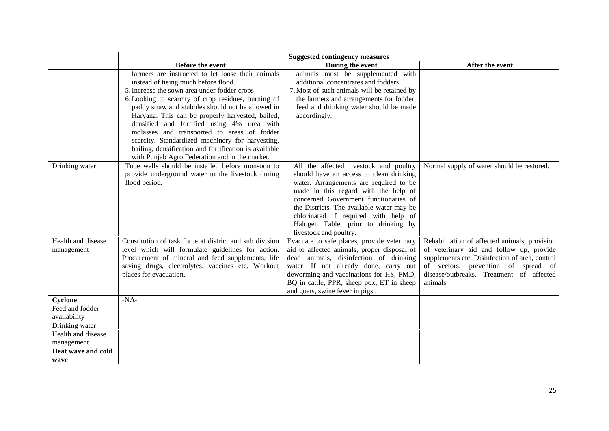|                                  | Before the event                                                                                                                                                                                                                                                                                                                                                                                                                                           | During the event                                                                                                                                                                                                                                                                                                                                                   | After the event                                                                                                                                                                                                                            |
|----------------------------------|------------------------------------------------------------------------------------------------------------------------------------------------------------------------------------------------------------------------------------------------------------------------------------------------------------------------------------------------------------------------------------------------------------------------------------------------------------|--------------------------------------------------------------------------------------------------------------------------------------------------------------------------------------------------------------------------------------------------------------------------------------------------------------------------------------------------------------------|--------------------------------------------------------------------------------------------------------------------------------------------------------------------------------------------------------------------------------------------|
|                                  | farmers are instructed to let loose their animals<br>instead of tieing much before flood.<br>5. Increase the sown area under fodder crops<br>6. Looking to scarcity of crop residues, burning of<br>paddy straw and stubbles should not be allowed in<br>Haryana. This can be properly harvested, bailed,<br>densified and fortified using 4% urea with<br>molasses and transported to areas of fodder<br>scarcity. Standardized machinery for harvesting, | animals must be supplemented with<br>additional concentrates and fodders.<br>7. Most of such animals will be retained by<br>the farmers and arrangements for fodder,<br>feed and drinking water should be made<br>accordingly.                                                                                                                                     |                                                                                                                                                                                                                                            |
|                                  | bailing, densification and fortification is available<br>with Punjab Agro Federation and in the market.                                                                                                                                                                                                                                                                                                                                                    |                                                                                                                                                                                                                                                                                                                                                                    |                                                                                                                                                                                                                                            |
| Drinking water                   | Tube wells should be installed before monsoon to<br>provide underground water to the livestock during<br>flood period.                                                                                                                                                                                                                                                                                                                                     | All the affected livestock and poultry<br>should have an access to clean drinking<br>water. Arrangements are required to be<br>made in this regard with the help of<br>concerned Government functionaries of<br>the Districts. The available water may be<br>chlorinated if required with help of<br>Halogen Tablet prior to drinking by<br>livestock and poultry. | Normal supply of water should be restored.                                                                                                                                                                                                 |
| Health and disease<br>management | Constitution of task force at district and sub division<br>level which will formulate guidelines for action.<br>Procurement of mineral and feed supplements, life<br>saving drugs, electrolytes, vaccines etc. Workout<br>places for evacuation.                                                                                                                                                                                                           | Evacuate to safe places, provide veterinary<br>aid to affected animals, proper disposal of<br>dead animals, disinfection of drinking<br>water. If not already done, carry out<br>deworming and vaccinations for HS, FMD,<br>BQ in cattle, PPR, sheep pox, ET in sheep<br>and goats, swine fever in pigs                                                            | Rehabilitation of affected animals, provision<br>of veterinary aid and follow up, provide<br>supplements etc. Disinfection of area, control<br>of vectors, prevention of spread of<br>disease/outbreaks. Treatment of affected<br>animals. |
| Cyclone                          | $-NA-$                                                                                                                                                                                                                                                                                                                                                                                                                                                     |                                                                                                                                                                                                                                                                                                                                                                    |                                                                                                                                                                                                                                            |
| Feed and fodder<br>availability  |                                                                                                                                                                                                                                                                                                                                                                                                                                                            |                                                                                                                                                                                                                                                                                                                                                                    |                                                                                                                                                                                                                                            |
| Drinking water                   |                                                                                                                                                                                                                                                                                                                                                                                                                                                            |                                                                                                                                                                                                                                                                                                                                                                    |                                                                                                                                                                                                                                            |
| Health and disease<br>management |                                                                                                                                                                                                                                                                                                                                                                                                                                                            |                                                                                                                                                                                                                                                                                                                                                                    |                                                                                                                                                                                                                                            |
| Heat wave and cold<br>wave       |                                                                                                                                                                                                                                                                                                                                                                                                                                                            |                                                                                                                                                                                                                                                                                                                                                                    |                                                                                                                                                                                                                                            |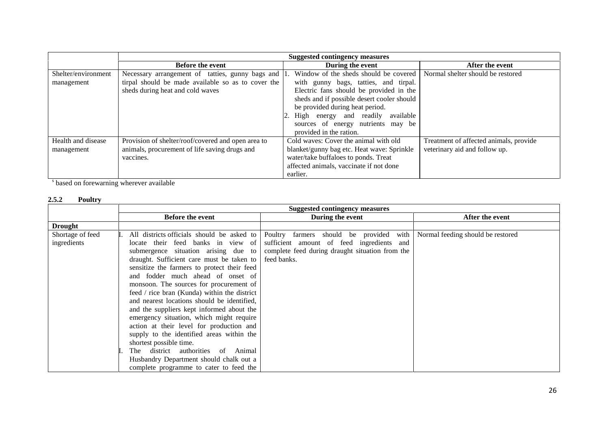|                     | <b>Suggested contingency measures</b>              |                                            |                                        |
|---------------------|----------------------------------------------------|--------------------------------------------|----------------------------------------|
|                     | <b>Before the event</b>                            | During the event                           | After the event                        |
| Shelter/environment | Necessary arrangement of tatties, gunny bags and   | Window of the sheds should be covered      | Normal shelter should be restored      |
| management          | tirpal should be made available so as to cover the | with gunny bags, tatties, and tirpal.      |                                        |
|                     | sheds during heat and cold waves                   | Electric fans should be provided in the    |                                        |
|                     |                                                    | sheds and if possible desert cooler should |                                        |
|                     |                                                    | be provided during heat period.            |                                        |
|                     |                                                    | 2. High energy and readily available       |                                        |
|                     |                                                    | sources of energy nutrients may be         |                                        |
|                     |                                                    | provided in the ration.                    |                                        |
| Health and disease  | Provision of shelter/roof/covered and open area to | Cold waves: Cover the animal with old      | Treatment of affected animals, provide |
| management          | animals, procurement of life saving drugs and      | blanket/gunny bag etc. Heat wave: Sprinkle | veterinary aid and follow up.          |
|                     | vaccines.                                          | water/take buffaloes to ponds. Treat       |                                        |
|                     |                                                    | affected animals, vaccinate if not done    |                                        |
|                     |                                                    | earlier.                                   |                                        |

<sup>s</sup> based on forewarning wherever available

#### **2.5.2 Poultry**

|                  | <b>Suggested contingency measures</b>        |                                                 |                                   |
|------------------|----------------------------------------------|-------------------------------------------------|-----------------------------------|
|                  | <b>Before the event</b>                      | During the event                                | After the event                   |
| <b>Drought</b>   |                                              |                                                 |                                   |
| Shortage of feed | All districts officials should be asked to   | Poultry farmers should be provided with         | Normal feeding should be restored |
| ingredients      | locate their feed banks in view of           | sufficient amount of feed ingredients and       |                                   |
|                  | submergence situation arising due to         | complete feed during draught situation from the |                                   |
|                  | draught. Sufficient care must be taken to    | feed banks.                                     |                                   |
|                  | sensitize the farmers to protect their feed  |                                                 |                                   |
|                  | and fodder much ahead of onset of            |                                                 |                                   |
|                  | monsoon. The sources for procurement of      |                                                 |                                   |
|                  | feed / rice bran (Kunda) within the district |                                                 |                                   |
|                  | and nearest locations should be identified,  |                                                 |                                   |
|                  | and the suppliers kept informed about the    |                                                 |                                   |
|                  | emergency situation, which might require     |                                                 |                                   |
|                  | action at their level for production and     |                                                 |                                   |
|                  | supply to the identified areas within the    |                                                 |                                   |
|                  | shortest possible time.                      |                                                 |                                   |
|                  | The district authorities of Animal           |                                                 |                                   |
|                  | Husbandry Department should chalk out a      |                                                 |                                   |
|                  | complete programme to cater to feed the      |                                                 |                                   |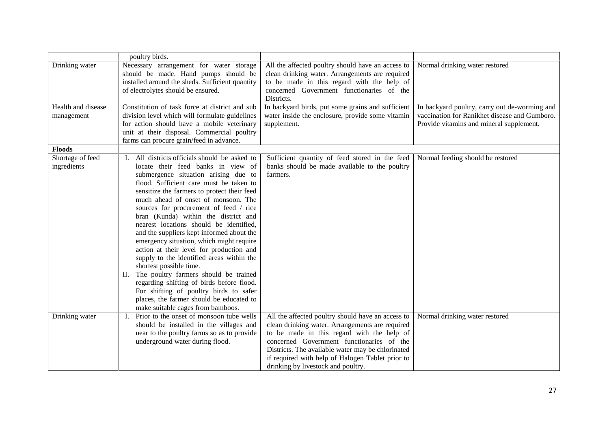|                                  | poultry birds.                                                                                                                                                                                                                                                                                                                                                                                                                                                                                                                                                                                                                                                                                                                                                                                                              |                                                                                                                                                                                                                                                                                                                                                |                                                                                                                                            |
|----------------------------------|-----------------------------------------------------------------------------------------------------------------------------------------------------------------------------------------------------------------------------------------------------------------------------------------------------------------------------------------------------------------------------------------------------------------------------------------------------------------------------------------------------------------------------------------------------------------------------------------------------------------------------------------------------------------------------------------------------------------------------------------------------------------------------------------------------------------------------|------------------------------------------------------------------------------------------------------------------------------------------------------------------------------------------------------------------------------------------------------------------------------------------------------------------------------------------------|--------------------------------------------------------------------------------------------------------------------------------------------|
| Drinking water                   | Necessary arrangement for water storage<br>should be made. Hand pumps should be<br>installed around the sheds. Sufficient quantity<br>of electrolytes should be ensured.                                                                                                                                                                                                                                                                                                                                                                                                                                                                                                                                                                                                                                                    | All the affected poultry should have an access to<br>clean drinking water. Arrangements are required<br>to be made in this regard with the help of<br>concerned Government functionaries of the<br>Districts.                                                                                                                                  | Normal drinking water restored                                                                                                             |
| Health and disease<br>management | Constitution of task force at district and sub<br>division level which will formulate guidelines<br>for action should have a mobile veterinary<br>unit at their disposal. Commercial poultry<br>farms can procure grain/feed in advance.                                                                                                                                                                                                                                                                                                                                                                                                                                                                                                                                                                                    | In backyard birds, put some grains and sufficient<br>water inside the enclosure, provide some vitamin<br>supplement.                                                                                                                                                                                                                           | In backyard poultry, carry out de-worming and<br>vaccination for Ranikhet disease and Gumboro.<br>Provide vitamins and mineral supplement. |
| <b>Floods</b>                    |                                                                                                                                                                                                                                                                                                                                                                                                                                                                                                                                                                                                                                                                                                                                                                                                                             |                                                                                                                                                                                                                                                                                                                                                |                                                                                                                                            |
| Shortage of feed<br>ingredients  | I. All districts officials should be asked to<br>locate their feed banks in view of<br>submergence situation arising due to<br>flood. Sufficient care must be taken to<br>sensitize the farmers to protect their feed<br>much ahead of onset of monsoon. The<br>sources for procurement of feed / rice<br>bran (Kunda) within the district and<br>nearest locations should be identified,<br>and the suppliers kept informed about the<br>emergency situation, which might require<br>action at their level for production and<br>supply to the identified areas within the<br>shortest possible time.<br>II. The poultry farmers should be trained<br>regarding shifting of birds before flood.<br>For shifting of poultry birds to safer<br>places, the farmer should be educated to<br>make suitable cages from bamboos. | Sufficient quantity of feed stored in the feed<br>banks should be made available to the poultry<br>farmers.                                                                                                                                                                                                                                    | Normal feeding should be restored                                                                                                          |
| Drinking water                   | Prior to the onset of monsoon tube wells<br>Ι.<br>should be installed in the villages and<br>near to the poultry farms so as to provide<br>underground water during flood.                                                                                                                                                                                                                                                                                                                                                                                                                                                                                                                                                                                                                                                  | All the affected poultry should have an access to<br>clean drinking water. Arrangements are required<br>to be made in this regard with the help of<br>concerned Government functionaries of the<br>Districts. The available water may be chlorinated<br>if required with help of Halogen Tablet prior to<br>drinking by livestock and poultry. | Normal drinking water restored                                                                                                             |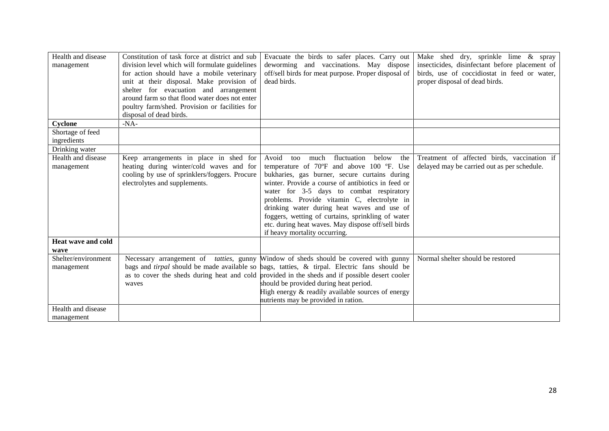| Health and disease<br>management          | Constitution of task force at district and sub<br>division level which will formulate guidelines<br>for action should have a mobile veterinary<br>unit at their disposal. Make provision of<br>shelter for evacuation and arrangement<br>around farm so that flood water does not enter<br>poultry farm/shed. Provision or facilities for<br>disposal of dead birds. | Evacuate the birds to safer places. Carry out<br>deworming and vaccinations. May dispose<br>off/sell birds for meat purpose. Proper disposal of<br>dead birds.                                                                                                                                                                                                                                                                                                                                | Make shed dry, sprinkle lime & spray<br>insecticides, disinfectant before placement of<br>birds, use of coccidiostat in feed or water,<br>proper disposal of dead birds. |
|-------------------------------------------|----------------------------------------------------------------------------------------------------------------------------------------------------------------------------------------------------------------------------------------------------------------------------------------------------------------------------------------------------------------------|-----------------------------------------------------------------------------------------------------------------------------------------------------------------------------------------------------------------------------------------------------------------------------------------------------------------------------------------------------------------------------------------------------------------------------------------------------------------------------------------------|--------------------------------------------------------------------------------------------------------------------------------------------------------------------------|
| Cyclone                                   | $-NA-$                                                                                                                                                                                                                                                                                                                                                               |                                                                                                                                                                                                                                                                                                                                                                                                                                                                                               |                                                                                                                                                                          |
| Shortage of feed<br>ingredients           |                                                                                                                                                                                                                                                                                                                                                                      |                                                                                                                                                                                                                                                                                                                                                                                                                                                                                               |                                                                                                                                                                          |
| Drinking water                            |                                                                                                                                                                                                                                                                                                                                                                      |                                                                                                                                                                                                                                                                                                                                                                                                                                                                                               |                                                                                                                                                                          |
| Health and disease<br>management          | Keep arrangements in place in shed for<br>heating during winter/cold waves and for<br>cooling by use of sprinklers/foggers. Procure<br>electrolytes and supplements.                                                                                                                                                                                                 | Avoid<br>much<br>fluctuation<br>below<br>the<br>too<br>temperature of 70°F and above 100 °F. Use<br>bukharies, gas burner, secure curtains during<br>winter. Provide a course of antibiotics in feed or<br>water for 3-5 days to combat respiratory<br>problems. Provide vitamin C, electrolyte in<br>drinking water during heat waves and use of<br>foggers, wetting of curtains, sprinkling of water<br>etc. during heat waves. May dispose off/sell birds<br>if heavy mortality occurring. | Treatment of affected birds, vaccination if<br>delayed may be carried out as per schedule.                                                                               |
| Heat wave and cold                        |                                                                                                                                                                                                                                                                                                                                                                      |                                                                                                                                                                                                                                                                                                                                                                                                                                                                                               |                                                                                                                                                                          |
| wave<br>Shelter/environment<br>management | waves                                                                                                                                                                                                                                                                                                                                                                | Necessary arrangement of <i>tatties</i> , gunny Window of sheds should be covered with gunny<br>bags and <i>tirpal</i> should be made available so bags, tatties, & tirpal. Electric fans should be<br>as to cover the sheds during heat and cold provided in the sheds and if possible desert cooler<br>should be provided during heat period.<br>High energy & readily available sources of energy<br>nutrients may be provided in ration.                                                  | Normal shelter should be restored                                                                                                                                        |
| Health and disease<br>management          |                                                                                                                                                                                                                                                                                                                                                                      |                                                                                                                                                                                                                                                                                                                                                                                                                                                                                               |                                                                                                                                                                          |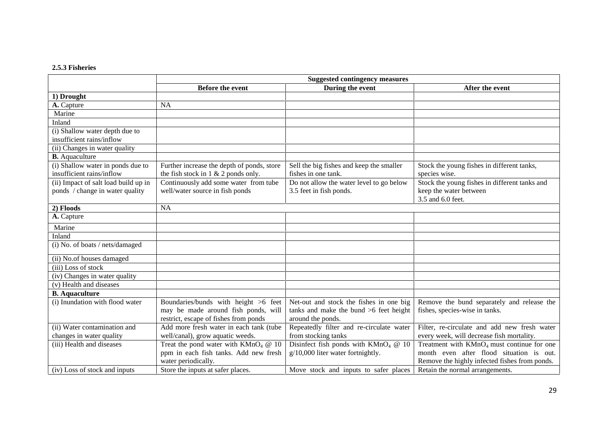#### **2.5.3 Fisheries**

|                                      | <b>Suggested contingency measures</b>      |                                          |                                               |
|--------------------------------------|--------------------------------------------|------------------------------------------|-----------------------------------------------|
|                                      | <b>Before the event</b>                    | During the event                         | After the event                               |
| 1) Drought                           |                                            |                                          |                                               |
| A. Capture                           | <b>NA</b>                                  |                                          |                                               |
| Marine                               |                                            |                                          |                                               |
| Inland                               |                                            |                                          |                                               |
| (i) Shallow water depth due to       |                                            |                                          |                                               |
| insufficient rains/inflow            |                                            |                                          |                                               |
| (ii) Changes in water quality        |                                            |                                          |                                               |
| <b>B.</b> Aquaculture                |                                            |                                          |                                               |
| (i) Shallow water in ponds due to    | Further increase the depth of ponds, store | Sell the big fishes and keep the smaller | Stock the young fishes in different tanks,    |
| insufficient rains/inflow            | the fish stock in $1 \& 2$ ponds only.     | fishes in one tank.                      | species wise.                                 |
| (ii) Impact of salt load build up in | Continuously add some water from tube      | Do not allow the water level to go below | Stock the young fishes in different tanks and |
| ponds / change in water quality      | well/water source in fish ponds            | 3.5 feet in fish ponds.                  | keep the water between                        |
|                                      |                                            |                                          | 3.5 and 6.0 feet.                             |
| 2) Floods                            | <b>NA</b>                                  |                                          |                                               |
| A. Capture                           |                                            |                                          |                                               |
| Marine                               |                                            |                                          |                                               |
| Inland                               |                                            |                                          |                                               |
| (i) No. of boats / nets/damaged      |                                            |                                          |                                               |
| (ii) No.of houses damaged            |                                            |                                          |                                               |
| (iii) Loss of stock                  |                                            |                                          |                                               |
| (iv) Changes in water quality        |                                            |                                          |                                               |
| (v) Health and diseases              |                                            |                                          |                                               |
| <b>B.</b> Aquaculture                |                                            |                                          |                                               |
| (i) Inundation with flood water      | Boundaries/bunds with height >6 feet       | Net-out and stock the fishes in one big  | Remove the bund separately and release the    |
|                                      | may be made around fish ponds, will        | tanks and make the bund >6 feet height   | fishes, species-wise in tanks.                |
|                                      | restrict, escape of fishes from ponds      | around the ponds.                        |                                               |
| (ii) Water contamination and         | Add more fresh water in each tank (tube    | Repeatedly filter and re-circulate water | Filter, re-circulate and add new fresh water  |
| changes in water quality             | well/canal), grow aquatic weeds.           | from stocking tanks                      | every week, will decrease fish mortality.     |
| (iii) Health and diseases            | Treat the pond water with $KMnO4 @ 10$     | Disinfect fish ponds with $KMnO4$ @ 10   | Treatment with $KMnO4$ must continue for one  |
|                                      | ppm in each fish tanks. Add new fresh      | $g/10,000$ liter water fortnightly.      | month even after flood situation is out.      |
|                                      | water periodically.                        |                                          | Remove the highly infected fishes from ponds. |
| (iv) Loss of stock and inputs        | Store the inputs at safer places.          | Move stock and inputs to safer places    | Retain the normal arrangements.               |